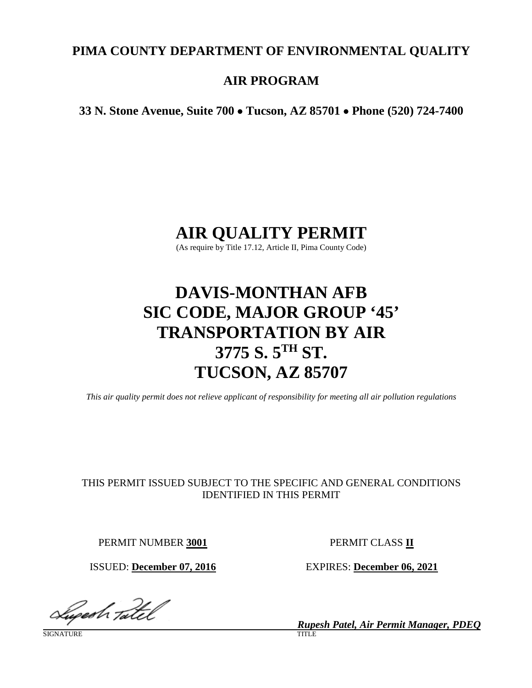# **PIMA COUNTY DEPARTMENT OF ENVIRONMENTAL QUALITY**

# **AIR PROGRAM**

**33 N. Stone Avenue, Suite 700** • **Tucson, AZ 85701** • **Phone (520) 724-7400**

# **AIR QUALITY PERMIT**

(As require by Title 17.12, Article II, Pima County Code)

# **DAVIS-MONTHAN AFB SIC CODE, MAJOR GROUP '45' TRANSPORTATION BY AIR 3775 S. 5TH ST. TUCSON, AZ 85707**

*This air quality permit does not relieve applicant of responsibility for meeting all air pollution regulations*

## THIS PERMIT ISSUED SUBJECT TO THE SPECIFIC AND GENERAL CONDITIONS IDENTIFIED IN THIS PERMIT

PERMIT NUMBER **3001** PERMIT CLASS **II**

Lugesh tatel

SIGNATURE TITLE THE SERVICE OF THE SERVICE OF THE SERVICE OF THE SERVICE OF THE SERVICE OF THE SERVICE OF THE

ISSUED: **December 07, 2016** EXPIRES: **December 06, 2021**

*Rupesh Patel, Air Permit Manager, PDEQ*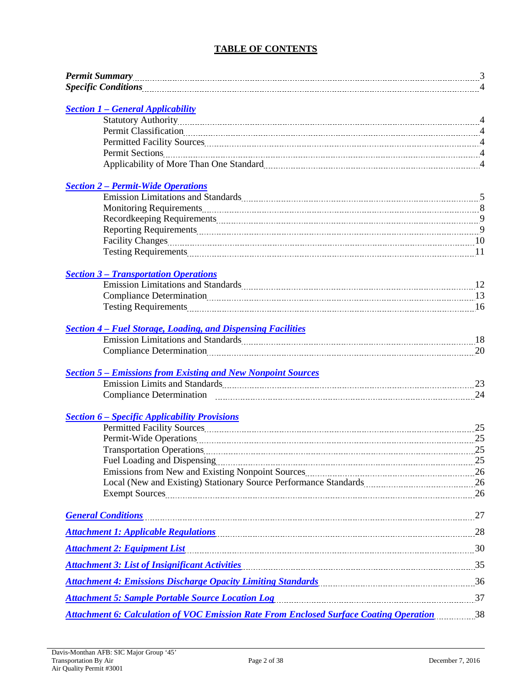### **TABLE OF CONTENTS**

| <b>Section 1 - General Applicability</b>                                                                                                                                                                                       |  |
|--------------------------------------------------------------------------------------------------------------------------------------------------------------------------------------------------------------------------------|--|
|                                                                                                                                                                                                                                |  |
|                                                                                                                                                                                                                                |  |
|                                                                                                                                                                                                                                |  |
|                                                                                                                                                                                                                                |  |
|                                                                                                                                                                                                                                |  |
| <b>Section 2 – Permit-Wide Operations</b>                                                                                                                                                                                      |  |
| Emission Limitations and Standards Material Communications and Standards Material Communications and Standards                                                                                                                 |  |
|                                                                                                                                                                                                                                |  |
|                                                                                                                                                                                                                                |  |
|                                                                                                                                                                                                                                |  |
|                                                                                                                                                                                                                                |  |
|                                                                                                                                                                                                                                |  |
| <b>Section 3 - Transportation Operations</b>                                                                                                                                                                                   |  |
| Emission Limitations and Standards Mathematical Communications and Standards Mathematical Communications and Standards Mathematical Communications and Standards Mathematical Communications and Standards Mathematical Commun |  |
| Compliance Determination 2000 13                                                                                                                                                                                               |  |
| Testing Requirements 16                                                                                                                                                                                                        |  |
| <b>Section 4 - Fuel Storage, Loading, and Dispensing Facilities</b>                                                                                                                                                            |  |
| Emission Limitations and Standards [18] [18] The Mass and Standards [18] IS                                                                                                                                                    |  |
| Compliance Determination 20                                                                                                                                                                                                    |  |
|                                                                                                                                                                                                                                |  |
|                                                                                                                                                                                                                                |  |
|                                                                                                                                                                                                                                |  |
| <b>Section 6 – Specific Applicability Provisions</b>                                                                                                                                                                           |  |
| Permitted Facility Sources 25                                                                                                                                                                                                  |  |
| Permit-Wide Operations 25                                                                                                                                                                                                      |  |
|                                                                                                                                                                                                                                |  |
|                                                                                                                                                                                                                                |  |
|                                                                                                                                                                                                                                |  |
| Local (New and Existing) Stationary Source Performance Standards [11,120] 26                                                                                                                                                   |  |
|                                                                                                                                                                                                                                |  |
| <b>General Conditions</b>                                                                                                                                                                                                      |  |
| Attachment 1: Applicable Regulations (28) 28 and 28 and 28 and 28 and 28 and 28 and 28 and 28 and 28 and 28 and 28 and 28 and 28 and 28 and 28 and 28 and 28 and 28 and 28 and 28 and 28 and 28 and 2012 and 2012 and 2012 and |  |
| Attachment 2: Equipment List 1994 and the contract of the contract of the contract of the contract of the contract $30$                                                                                                        |  |
| Attachment 3: List of Insignificant Activities <b>Mature 2018</b> 35                                                                                                                                                           |  |
| Attachment 4: Emissions Discharge Opacity Limiting Standards <b>Example 2018</b> 36                                                                                                                                            |  |
| Attachment 5: Sample Portable Source Location Log <b>Example 2018</b> 37                                                                                                                                                       |  |
| Attachment 6: Calculation of VOC Emission Rate From Enclosed Surface Coating Operation 38                                                                                                                                      |  |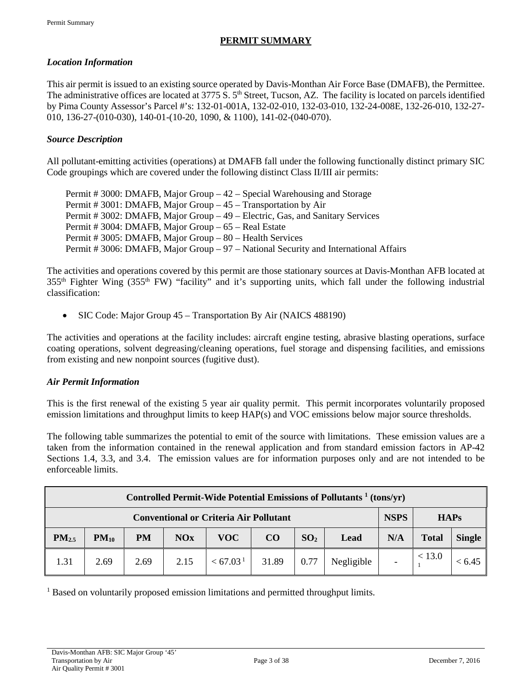### **PERMIT SUMMARY**

#### *Location Information*

This air permit is issued to an existing source operated by Davis-Monthan Air Force Base (DMAFB), the Permittee. The administrative offices are located at  $3775 S$ .  $5<sup>th</sup>$  Street, Tucson, AZ. The facility is located on parcels identified by Pima County Assessor's Parcel #'s: 132-01-001A, 132-02-010, 132-03-010, 132-24-008E, 132-26-010, 132-27- 010, 136-27-(010-030), 140-01-(10-20, 1090, & 1100), 141-02-(040-070).

#### *Source Description*

All pollutant-emitting activities (operations) at DMAFB fall under the following functionally distinct primary SIC Code groupings which are covered under the following distinct Class II/III air permits:

Permit # 3000: DMAFB, Major Group – 42 – Special Warehousing and Storage Permit # 3001: DMAFB, Major Group – 45 – Transportation by Air Permit # 3002: DMAFB, Major Group – 49 – Electric, Gas, and Sanitary Services Permit # 3004: DMAFB, Major Group – 65 – Real Estate Permit # 3005: DMAFB, Major Group – 80 – Health Services Permit # 3006: DMAFB, Major Group – 97 – National Security and International Affairs

The activities and operations covered by this permit are those stationary sources at Davis-Monthan AFB located at 355th Fighter Wing (355th FW) "facility" and it's supporting units, which fall under the following industrial classification:

• SIC Code: Major Group 45 – Transportation By Air (NAICS 488190)

The activities and operations at the facility includes: aircraft engine testing, abrasive blasting operations, surface coating operations, solvent degreasing/cleaning operations, fuel storage and dispensing facilities, and emissions from existing and new nonpoint sources (fugitive dust).

#### *Air Permit Information*

This is the first renewal of the existing 5 year air quality permit. This permit incorporates voluntarily proposed emission limitations and throughput limits to keep HAP(s) and VOC emissions below major source thresholds.

The following table summarizes the potential to emit of the source with limitations. These emission values are a taken from the information contained in the renewal application and from standard emission factors in AP-42 Sections 1.4, 3.3, and 3.4. The emission values are for information purposes only and are not intended to be enforceable limits.

| Controlled Permit-Wide Potential Emissions of Pollutants <sup>1</sup> (tons/yr) |           |           |            |                      |       |                 |            |     |              |               |
|---------------------------------------------------------------------------------|-----------|-----------|------------|----------------------|-------|-----------------|------------|-----|--------------|---------------|
| <b>NSPS</b><br><b>Conventional or Criteria Air Pollutant</b><br><b>HAPs</b>     |           |           |            |                      |       |                 |            |     |              |               |
| $PM_{2.5}$                                                                      | $PM_{10}$ | <b>PM</b> | <b>NOx</b> | <b>VOC</b>           | CO    | SO <sub>2</sub> | Lead       | N/A | <b>Total</b> | <b>Single</b> |
| 1.31                                                                            | 2.69      | 2.69      | 2.15       | < 67.03 <sup>1</sup> | 31.89 | 0.77            | Negligible |     | < 13.0       | < 6.45        |

<sup>1</sup> Based on voluntarily proposed emission limitations and permitted throughput limits.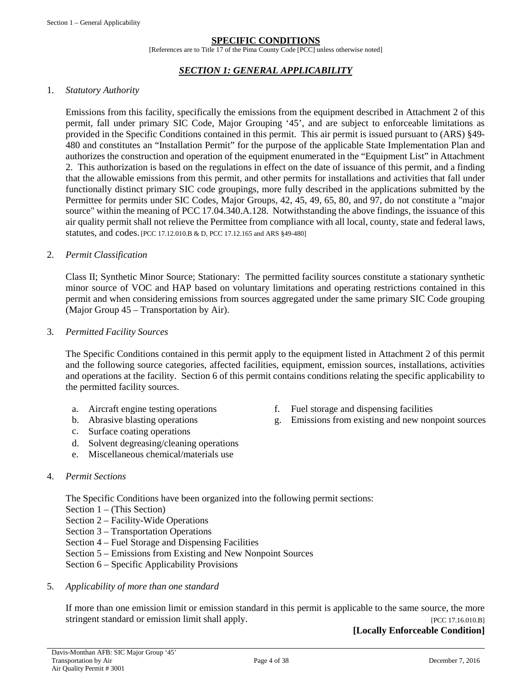#### **SPECIFIC CONDITIONS**

[References are to Title 17 of the Pima County Code [PCC] unless otherwise noted]

#### *SECTION 1: GENERAL APPLICABILITY*

#### <span id="page-3-0"></span>1. *Statutory Authority*

Emissions from this facility, specifically the emissions from the equipment described in Attachment 2 of this permit, fall under primary SIC Code, Major Grouping '45', and are subject to enforceable limitations as provided in the Specific Conditions contained in this permit. This air permit is issued pursuant to (ARS) §49- 480 and constitutes an "Installation Permit" for the purpose of the applicable State Implementation Plan and authorizes the construction and operation of the equipment enumerated in the "Equipment List" in Attachment 2. This authorization is based on the regulations in effect on the date of issuance of this permit, and a finding that the allowable emissions from this permit, and other permits for installations and activities that fall under functionally distinct primary SIC code groupings, more fully described in the applications submitted by the Permittee for permits under SIC Codes, Major Groups, 42, 45, 49, 65, 80, and 97, do not constitute a "major source" within the meaning of PCC 17.04.340.A.128. Notwithstanding the above findings, the issuance of this air quality permit shall not relieve the Permittee from compliance with all local, county, state and federal laws, statutes, and codes.[PCC 17.12.010.B & D, PCC 17.12.165 and ARS §49-480]

#### 2. *Permit Classification*

Class II; Synthetic Minor Source; Stationary: The permitted facility sources constitute a stationary synthetic minor source of VOC and HAP based on voluntary limitations and operating restrictions contained in this permit and when considering emissions from sources aggregated under the same primary SIC Code grouping (Major Group 45 – Transportation by Air).

#### 3. *Permitted Facility Sources*

The Specific Conditions contained in this permit apply to the equipment listed in Attachment 2 of this permit and the following source categories, affected facilities, equipment, emission sources, installations, activities and operations at the facility. Section 6 of this permit contains conditions relating the specific applicability to the permitted facility sources.

- a. Aircraft engine testing operations f. Fuel storage and dispensing facilities
- 
- c. Surface coating operations
- d. Solvent degreasing/cleaning operations
- e. Miscellaneous chemical/materials use

#### 4. *Permit Sections*

The Specific Conditions have been organized into the following permit sections:

- Section 1 (This Section)
- Section 2 Facility-Wide Operations
- Section 3 Transportation Operations
- Section 4 Fuel Storage and Dispensing Facilities
- Section 5 Emissions from Existing and New Nonpoint Sources
- Section 6 Specific Applicability Provisions
- 5. *Applicability of more than one standard*

If more than one emission limit or emission standard in this permit is applicable to the same source, the more stringent standard or emission limit shall apply. [PCC 17.16.010.B]

**[Locally Enforceable Condition]**

- 
- b. Abrasive blasting operations g. Emissions from existing and new nonpoint sources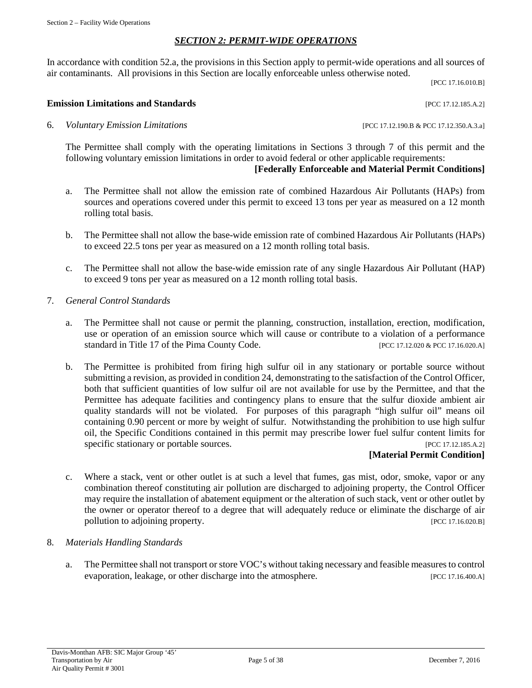#### *SECTION 2: PERMIT-WIDE OPERATIONS*

<span id="page-4-0"></span>In accordance with condition 52.a, the provisions in this Section apply to permit-wide operations and all sources of air contaminants. All provisions in this Section are locally enforceable unless otherwise noted.

[PCC 17.16.010.B]

#### **Emission Limitations and Standards** [PCC 17.12.185.A.2]

6. *Voluntary Emission Limitations* [PCC 17.12.190.B & PCC 17.12.350.A.3.a]

The Permittee shall comply with the operating limitations in Sections 3 through 7 of this permit and the following voluntary emission limitations in order to avoid federal or other applicable requirements:

#### **[Federally Enforceable and Material Permit Conditions]**

- a. The Permittee shall not allow the emission rate of combined Hazardous Air Pollutants (HAPs) from sources and operations covered under this permit to exceed 13 tons per year as measured on a 12 month rolling total basis.
- b. The Permittee shall not allow the base-wide emission rate of combined Hazardous Air Pollutants (HAPs) to exceed 22.5 tons per year as measured on a 12 month rolling total basis.
- c. The Permittee shall not allow the base-wide emission rate of any single Hazardous Air Pollutant (HAP) to exceed 9 tons per year as measured on a 12 month rolling total basis.
- 7. *General Control Standards*
	- a. The Permittee shall not cause or permit the planning, construction, installation, erection, modification, use or operation of an emission source which will cause or contribute to a violation of a performance standard in Title 17 of the Pima County Code. [PCC 17.12.020 & PCC 17.16.020.A]
	- b. The Permittee is prohibited from firing high sulfur oil in any stationary or portable source without submitting a revision, as provided in condition 24, demonstrating to the satisfaction of the Control Officer, both that sufficient quantities of low sulfur oil are not available for use by the Permittee, and that the Permittee has adequate facilities and contingency plans to ensure that the sulfur dioxide ambient air quality standards will not be violated. For purposes of this paragraph "high sulfur oil" means oil containing 0.90 percent or more by weight of sulfur. Notwithstanding the prohibition to use high sulfur oil, the Specific Conditions contained in this permit may prescribe lower fuel sulfur content limits for specific stationary or portable sources. [PCC 17.12.185.A.2]

#### **[Material Permit Condition]**

c. Where a stack, vent or other outlet is at such a level that fumes, gas mist, odor, smoke, vapor or any combination thereof constituting air pollution are discharged to adjoining property, the Control Officer may require the installation of abatement equipment or the alteration of such stack, vent or other outlet by the owner or operator thereof to a degree that will adequately reduce or eliminate the discharge of air pollution to adjoining property. [PCC 17.16.020.B]

#### 8. *Materials Handling Standards*

a. The Permittee shall not transport or store VOC's without taking necessary and feasible measures to control evaporation, leakage, or other discharge into the atmosphere. [PCC 17.16.400.A]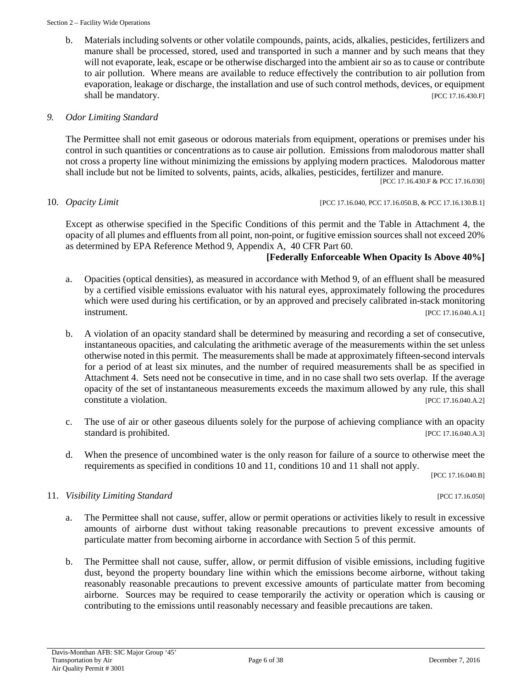b. Materials including solvents or other volatile compounds, paints, acids, alkalies, pesticides, fertilizers and manure shall be processed, stored, used and transported in such a manner and by such means that they will not evaporate, leak, escape or be otherwise discharged into the ambient air so as to cause or contribute to air pollution. Where means are available to reduce effectively the contribution to air pollution from evaporation, leakage or discharge, the installation and use of such control methods, devices, or equipment shall be mandatory. [PCC 17.16.430.F]

#### *9. Odor Limiting Standard*

The Permittee shall not emit gaseous or odorous materials from equipment, operations or premises under his control in such quantities or concentrations as to cause air pollution. Emissions from malodorous matter shall not cross a property line without minimizing the emissions by applying modern practices. Malodorous matter shall include but not be limited to solvents, paints, acids, alkalies, pesticides, fertilizer and manure.

[PCC 17.16.430.F & PCC 17.16.030]

#### 10. *Opacity Limit* [PCC 17.16.040, PCC 17.16.050.B, & PCC 17.16.130.B.1]

Except as otherwise specified in the Specific Conditions of this permit and the Table in Attachment 4, the opacity of all plumes and effluents from all point, non-point, or fugitive emission sources shall not exceed 20% as determined by EPA Reference Method 9, Appendix A, 40 CFR Part 60.

#### **[Federally Enforceable When Opacity Is Above 40%]**

- a. Opacities (optical densities), as measured in accordance with Method 9, of an effluent shall be measured by a certified visible emissions evaluator with his natural eyes, approximately following the procedures which were used during his certification, or by an approved and precisely calibrated in-stack monitoring **instrument.** [PCC 17.16.040.A.1]
- b. A violation of an opacity standard shall be determined by measuring and recording a set of consecutive, instantaneous opacities, and calculating the arithmetic average of the measurements within the set unless otherwise noted in this permit. The measurements shall be made at approximately fifteen-second intervals for a period of at least six minutes, and the number of required measurements shall be as specified in Attachment 4. Sets need not be consecutive in time, and in no case shall two sets overlap. If the average opacity of the set of instantaneous measurements exceeds the maximum allowed by any rule, this shall constitute a violation. [PCC 17.16.040.A.2]
- c. The use of air or other gaseous diluents solely for the purpose of achieving compliance with an opacity standard is prohibited. [PCC 17.16.040.A.3]
- d. When the presence of uncombined water is the only reason for failure of a source to otherwise meet the requirements as specified in conditions 10 and 11, conditions 10 and 11 shall not apply.

[PCC 17.16.040.B]

#### 11. *Visibility Limiting Standard* [PCC 17.16.050]

- a. The Permittee shall not cause, suffer, allow or permit operations or activities likely to result in excessive amounts of airborne dust without taking reasonable precautions to prevent excessive amounts of particulate matter from becoming airborne in accordance with Section 5 of this permit.
- b. The Permittee shall not cause, suffer, allow, or permit diffusion of visible emissions, including fugitive dust, beyond the property boundary line within which the emissions become airborne, without taking reasonably reasonable precautions to prevent excessive amounts of particulate matter from becoming airborne. Sources may be required to cease temporarily the activity or operation which is causing or contributing to the emissions until reasonably necessary and feasible precautions are taken.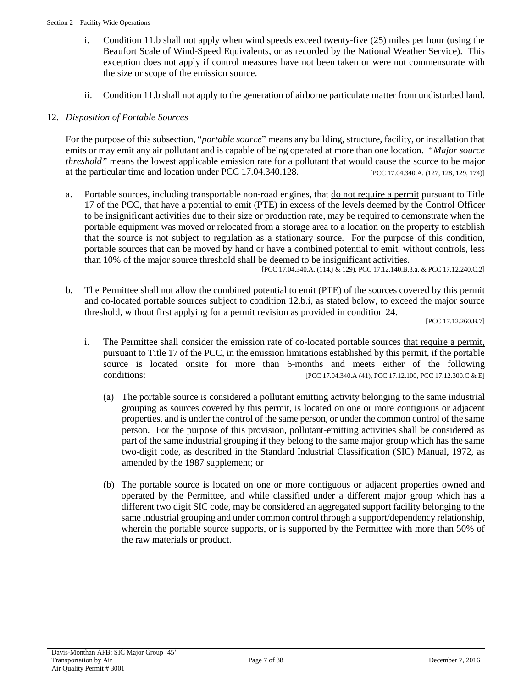- i. Condition 11.b shall not apply when wind speeds exceed twenty-five (25) miles per hour (using the Beaufort Scale of Wind-Speed Equivalents, or as recorded by the National Weather Service). This exception does not apply if control measures have not been taken or were not commensurate with the size or scope of the emission source.
- ii. Condition 11.b shall not apply to the generation of airborne particulate matter from undisturbed land.

### 12. *Disposition of Portable Sources*

For the purpose of this subsection, "*portable source*" means any building, structure, facility, or installation that emits or may emit any air pollutant and is capable of being operated at more than one location. *"Major source threshold"* means the lowest applicable emission rate for a pollutant that would cause the source to be major at the particular time and location under PCC 17.04.340.128. [PCC 17.04.340.A. (127, 128, 129, 174)]

a. Portable sources, including transportable non-road engines, that do not require a permit pursuant to Title 17 of the PCC, that have a potential to emit (PTE) in excess of the levels deemed by the Control Officer to be insignificant activities due to their size or production rate, may be required to demonstrate when the portable equipment was moved or relocated from a storage area to a location on the property to establish that the source is not subject to regulation as a stationary source. For the purpose of this condition, portable sources that can be moved by hand or have a combined potential to emit, without controls, less than 10% of the major source threshold shall be deemed to be insignificant activities.

[PCC 17.04.340.A. (114.j & 129), PCC 17.12.140.B.3.a, & PCC 17.12.240.C.2]

b*.* The Permittee shall not allow the combined potential to emit (PTE) of the sources covered by this permit and co-located portable sources subject to condition 12.b.i, as stated below, to exceed the major source threshold, without first applying for a permit revision as provided in condition 24.

[PCC 17.12.260.B.7]

- i. The Permittee shall consider the emission rate of co-located portable sources that require a permit, pursuant to Title 17 of the PCC, in the emission limitations established by this permit, if the portable source is located onsite for more than 6-months and meets either of the following conditions: [PCC 17.04.340.A (41), PCC 17.12.100, PCC 17.12.300.C & E]
	- (a) The portable source is considered a pollutant emitting activity belonging to the same industrial grouping as sources covered by this permit, is located on one or more contiguous or adjacent properties, and is under the control of the same person, or under the common control of the same person. For the purpose of this provision, pollutant-emitting activities shall be considered as part of the same industrial grouping if they belong to the same major group which has the same two-digit code, as described in the Standard Industrial Classification (SIC) Manual, 1972, as amended by the 1987 supplement; or
	- (b) The portable source is located on one or more contiguous or adjacent properties owned and operated by the Permittee, and while classified under a different major group which has a different two digit SIC code, may be considered an aggregated support facility belonging to the same industrial grouping and under common control through a support/dependency relationship, wherein the portable source supports, or is supported by the Permittee with more than 50% of the raw materials or product.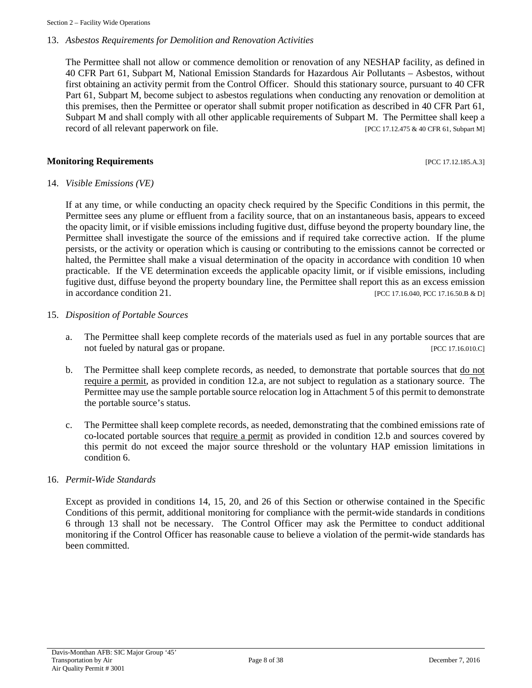#### 13. *Asbestos Requirements for Demolition and Renovation Activities*

The Permittee shall not allow or commence demolition or renovation of any NESHAP facility, as defined in 40 CFR Part 61, Subpart M, National Emission Standards for Hazardous Air Pollutants – Asbestos, without first obtaining an activity permit from the Control Officer. Should this stationary source, pursuant to 40 CFR Part 61, Subpart M, become subject to asbestos regulations when conducting any renovation or demolition at this premises, then the Permittee or operator shall submit proper notification as described in 40 CFR Part 61, Subpart M and shall comply with all other applicable requirements of Subpart M. The Permittee shall keep a record of all relevant paperwork on file. [PCC 17.12.475 & 40 CFR 61, Subpart M]

#### **Monitoring Requirements** *PCC 17.12.185.A.3*

#### 14. *Visible Emissions (VE)*

If at any time, or while conducting an opacity check required by the Specific Conditions in this permit, the Permittee sees any plume or effluent from a facility source, that on an instantaneous basis, appears to exceed the opacity limit, or if visible emissions including fugitive dust, diffuse beyond the property boundary line, the Permittee shall investigate the source of the emissions and if required take corrective action. If the plume persists, or the activity or operation which is causing or contributing to the emissions cannot be corrected or halted, the Permittee shall make a visual determination of the opacity in accordance with condition 10 when practicable. If the VE determination exceeds the applicable opacity limit, or if visible emissions, including fugitive dust, diffuse beyond the property boundary line, the Permittee shall report this as an excess emission in accordance condition 21. [PCC 17.16.040, PCC 17.16.50.B & D]

#### 15. *Disposition of Portable Sources*

- a. The Permittee shall keep complete records of the materials used as fuel in any portable sources that are not fueled by natural gas or propane. [PCC 17.16.010.C]
- b. The Permittee shall keep complete records, as needed, to demonstrate that portable sources that do not require a permit, as provided in condition 12.a, are not subject to regulation as a stationary source. The Permittee may use the sample portable source relocation log in Attachment 5 of this permit to demonstrate the portable source's status.
- c. The Permittee shall keep complete records, as needed, demonstrating that the combined emissions rate of co-located portable sources that require a permit as provided in condition 12.b and sources covered by this permit do not exceed the major source threshold or the voluntary HAP emission limitations in condition 6.

#### 16. *Permit-Wide Standards*

Except as provided in conditions 14, 15, 20, and 26 of this Section or otherwise contained in the Specific Conditions of this permit, additional monitoring for compliance with the permit-wide standards in conditions 6 through 13 shall not be necessary. The Control Officer may ask the Permittee to conduct additional monitoring if the Control Officer has reasonable cause to believe a violation of the permit-wide standards has been committed.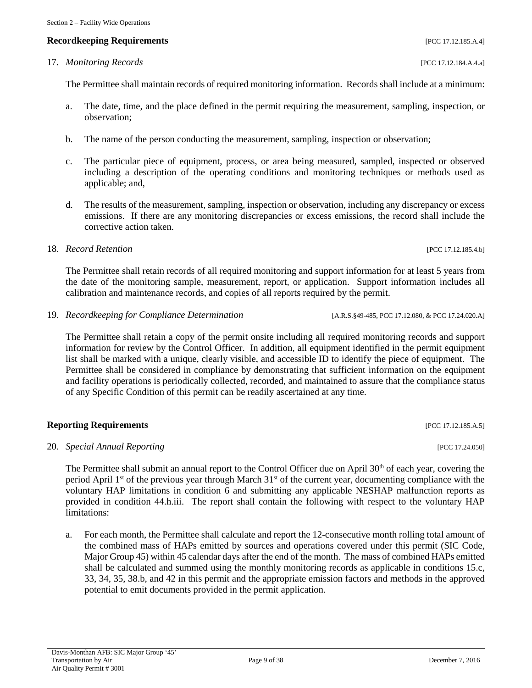### **Recordkeeping Requirements** [PCC 17.12.185.A.4]

### 17. *Monitoring Records* [PCC 17.12.184.A.4.a]

The Permittee shall maintain records of required monitoring information. Records shall include at a minimum:

- a. The date, time, and the place defined in the permit requiring the measurement, sampling, inspection, or observation;
- b. The name of the person conducting the measurement, sampling, inspection or observation;
- c. The particular piece of equipment, process, or area being measured, sampled, inspected or observed including a description of the operating conditions and monitoring techniques or methods used as applicable; and,
- d. The results of the measurement, sampling, inspection or observation, including any discrepancy or excess emissions. If there are any monitoring discrepancies or excess emissions, the record shall include the corrective action taken.

#### 18. *Record Retention* [PCC 17.12.185.4.b]

The Permittee shall retain records of all required monitoring and support information for at least 5 years from the date of the monitoring sample, measurement, report, or application. Support information includes all calibration and maintenance records, and copies of all reports required by the permit.

19. *Recordkeeping for Compliance Determination* [A.R.S.§49-485, PCC 17.12.080, & PCC 17.24.020.A]

The Permittee shall retain a copy of the permit onsite including all required monitoring records and support information for review by the Control Officer. In addition, all equipment identified in the permit equipment list shall be marked with a unique, clearly visible, and accessible ID to identify the piece of equipment. The Permittee shall be considered in compliance by demonstrating that sufficient information on the equipment and facility operations is periodically collected, recorded, and maintained to assure that the compliance status of any Specific Condition of this permit can be readily ascertained at any time.

#### **Reporting Requirements** [PCC 17.12.185.A.5]

#### 20. *Special Annual Reporting* [PCC 17.24.050]

The Permittee shall submit an annual report to the Control Officer due on April 30<sup>th</sup> of each year, covering the period April 1st of the previous year through March 31st of the current year, documenting compliance with the voluntary HAP limitations in condition 6 and submitting any applicable NESHAP malfunction reports as provided in condition 44.h.iii. The report shall contain the following with respect to the voluntary HAP limitations:

a. For each month, the Permittee shall calculate and report the 12-consecutive month rolling total amount of the combined mass of HAPs emitted by sources and operations covered under this permit (SIC Code, Major Group 45) within 45 calendar days after the end of the month. The mass of combined HAPs emitted shall be calculated and summed using the monthly monitoring records as applicable in conditions 15.c, 33, 34, 35, 38.b, and 42 in this permit and the appropriate emission factors and methods in the approved potential to emit documents provided in the permit application.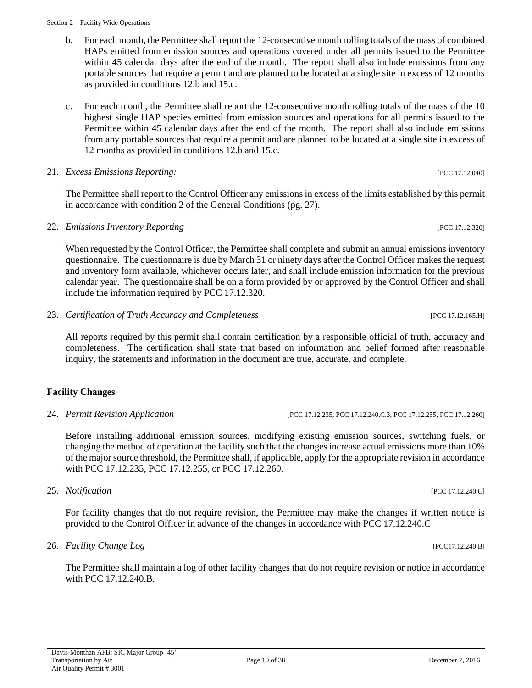- b. For each month, the Permittee shall report the 12-consecutive month rolling totals of the mass of combined HAPs emitted from emission sources and operations covered under all permits issued to the Permittee within 45 calendar days after the end of the month. The report shall also include emissions from any portable sources that require a permit and are planned to be located at a single site in excess of 12 months as provided in conditions 12.b and 15.c.
- c. For each month, the Permittee shall report the 12-consecutive month rolling totals of the mass of the 10 highest single HAP species emitted from emission sources and operations for all permits issued to the Permittee within 45 calendar days after the end of the month. The report shall also include emissions from any portable sources that require a permit and are planned to be located at a single site in excess of 12 months as provided in conditions 12.b and 15.c.

#### 21. *Excess Emissions Reporting:* [PCC 17.12.040]

The Permittee shall report to the Control Officer any emissions in excess of the limits established by this permit in accordance with condition 2 of the General Conditions (pg. 27).

22. *Emissions Inventory Reporting* [PCC 17.12.320]

When requested by the Control Officer, the Permittee shall complete and submit an annual emissions inventory questionnaire. The questionnaire is due by March 31 or ninety days after the Control Officer makes the request and inventory form available, whichever occurs later, and shall include emission information for the previous calendar year. The questionnaire shall be on a form provided by or approved by the Control Officer and shall include the information required by PCC 17.12.320.

23. *Certification of Truth Accuracy and Completeness* [PCC 17.12.165.H]

All reports required by this permit shall contain certification by a responsible official of truth, accuracy and completeness. The certification shall state that based on information and belief formed after reasonable inquiry, the statements and information in the document are true, accurate, and complete.

#### **Facility Changes**

24. *Permit Revision Application* [PCC 17.12.235, PCC 17.12.240.C.3, PCC 17.12.255, PCC 17.12.260]

Before installing additional emission sources, modifying existing emission sources, switching fuels, or changing the method of operation at the facility such that the changes increase actual emissions more than 10% of the major source threshold, the Permittee shall, if applicable, apply for the appropriate revision in accordance with PCC 17.12.235, PCC 17.12.255, or PCC 17.12.260.

#### 25. *Notification* [PCC 17.12.240.C]

For facility changes that do not require revision, the Permittee may make the changes if written notice is provided to the Control Officer in advance of the changes in accordance with PCC 17.12.240.C

#### 26. *Facility Change Log Facility Change Log PCC17.12.240.B*

The Permittee shall maintain a log of other facility changes that do not require revision or notice in accordance with PCC 17.12.240.B.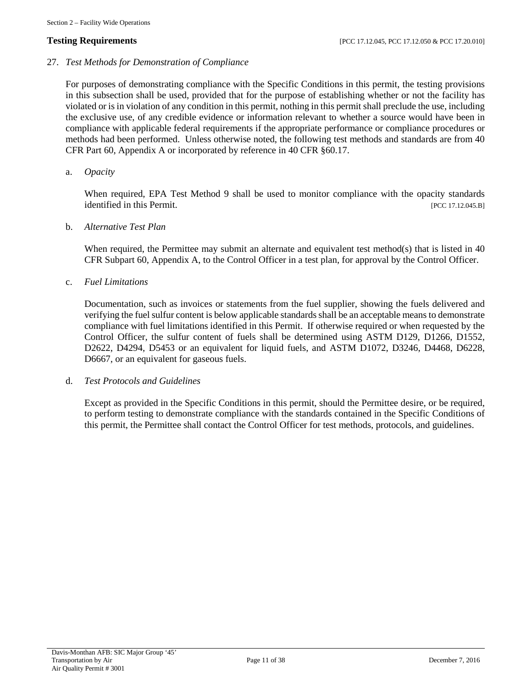27. *Test Methods for Demonstration of Compliance*

For purposes of demonstrating compliance with the Specific Conditions in this permit, the testing provisions in this subsection shall be used, provided that for the purpose of establishing whether or not the facility has violated or is in violation of any condition in this permit, nothing in this permit shall preclude the use, including the exclusive use, of any credible evidence or information relevant to whether a source would have been in compliance with applicable federal requirements if the appropriate performance or compliance procedures or methods had been performed. Unless otherwise noted, the following test methods and standards are from 40 CFR Part 60, Appendix A or incorporated by reference in 40 CFR §60.17.

a. *Opacity*

When required, EPA Test Method 9 shall be used to monitor compliance with the opacity standards identified in this Permit. [PCC 17.12.045.B]

b. *Alternative Test Plan*

When required, the Permittee may submit an alternate and equivalent test method(s) that is listed in 40 CFR Subpart 60, Appendix A, to the Control Officer in a test plan, for approval by the Control Officer.

c. *Fuel Limitations*

Documentation, such as invoices or statements from the fuel supplier, showing the fuels delivered and verifying the fuel sulfur content is below applicable standards shall be an acceptable means to demonstrate compliance with fuel limitations identified in this Permit. If otherwise required or when requested by the Control Officer, the sulfur content of fuels shall be determined using ASTM D129, D1266, D1552, D2622, D4294, D5453 or an equivalent for liquid fuels, and ASTM D1072, D3246, D4468, D6228, D6667, or an equivalent for gaseous fuels.

d. *Test Protocols and Guidelines*

Except as provided in the Specific Conditions in this permit, should the Permittee desire, or be required, to perform testing to demonstrate compliance with the standards contained in the Specific Conditions of this permit, the Permittee shall contact the Control Officer for test methods, protocols, and guidelines.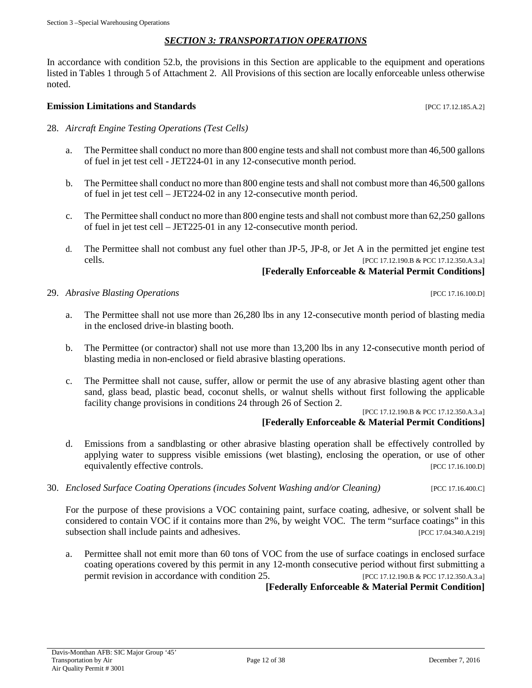#### *SECTION 3: TRANSPORTATION OPERATIONS*

<span id="page-11-0"></span>In accordance with condition 52.b, the provisions in this Section are applicable to the equipment and operations listed in Tables 1 through 5 of Attachment 2. All Provisions of this section are locally enforceable unless otherwise noted.

#### **Emission Limitations and Standards Emission Limitations and Standards Exercíse 2016 Exercíse 2016 EXERC 17.12.185.A.2]**

- 28. *Aircraft Engine Testing Operations (Test Cells)*
	- a. The Permittee shall conduct no more than 800 engine tests and shall not combust more than 46,500 gallons of fuel in jet test cell - JET224-01 in any 12-consecutive month period.
	- b. The Permittee shall conduct no more than 800 engine tests and shall not combust more than 46,500 gallons of fuel in jet test cell – JET224-02 in any 12-consecutive month period.
	- c. The Permittee shall conduct no more than 800 engine tests and shall not combust more than 62,250 gallons of fuel in jet test cell – JET225-01 in any 12-consecutive month period.
	- d. The Permittee shall not combust any fuel other than JP-5, JP-8, or Jet A in the permitted jet engine test cells. [PCC 17.12.190.B & PCC 17.12.350.A.3.a]

#### **[Federally Enforceable & Material Permit Conditions]**

29. *Abrasive Blasting Operations* [PCC 17.16.100.D]

- a. The Permittee shall not use more than 26,280 lbs in any 12-consecutive month period of blasting media in the enclosed drive-in blasting booth.
- b. The Permittee (or contractor) shall not use more than 13,200 lbs in any 12-consecutive month period of blasting media in non-enclosed or field abrasive blasting operations.
- c. The Permittee shall not cause, suffer, allow or permit the use of any abrasive blasting agent other than sand, glass bead, plastic bead, coconut shells, or walnut shells without first following the applicable facility change provisions in conditions 24 through 26 of Section 2.

[PCC 17.12.190.B & PCC 17.12.350.A.3.a]

#### **[Federally Enforceable & Material Permit Conditions]**

- d. Emissions from a sandblasting or other abrasive blasting operation shall be effectively controlled by applying water to suppress visible emissions (wet blasting), enclosing the operation, or use of other equivalently effective controls. [PCC 17.16.100.D]
- 30. *Enclosed Surface Coating Operations (incudes Solvent Washing and/or Cleaning)* [PCC 17.16.400.C]

For the purpose of these provisions a VOC containing paint, surface coating, adhesive, or solvent shall be considered to contain VOC if it contains more than 2%, by weight VOC. The term "surface coatings" in this subsection shall include paints and adhesives. [PCC 17.04.340.A.219]

a. Permittee shall not emit more than 60 tons of VOC from the use of surface coatings in enclosed surface coating operations covered by this permit in any 12-month consecutive period without first submitting a permit revision in accordance with condition 25. [PCC 17.12.190.B & PCC 17.12.350.A.3.a]

**[Federally Enforceable & Material Permit Condition]**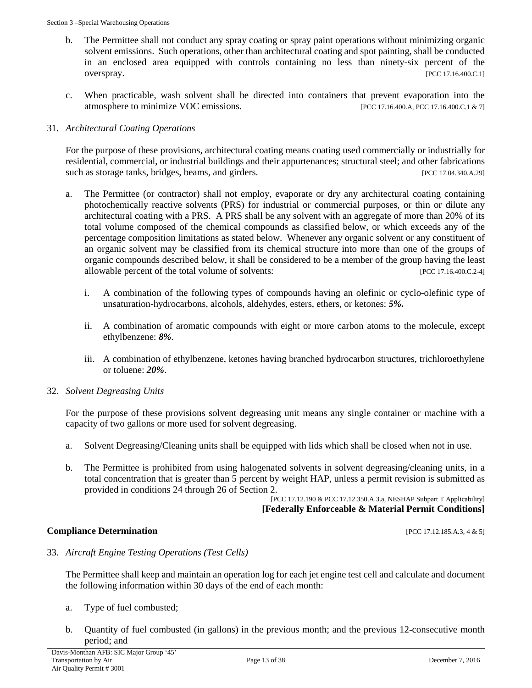- b. The Permittee shall not conduct any spray coating or spray paint operations without minimizing organic solvent emissions. Such operations, other than architectural coating and spot painting, shall be conducted in an enclosed area equipped with controls containing no less than ninety-six percent of the overspray. [PCC 17.16.400.C.1]
- c. When practicable, wash solvent shall be directed into containers that prevent evaporation into the atmosphere to minimize VOC emissions. [PCC 17.16.400.A, PCC 17.16.400.C.1 & 7]

#### 31. *Architectural Coating Operations*

For the purpose of these provisions, architectural coating means coating used commercially or industrially for residential, commercial, or industrial buildings and their appurtenances; structural steel; and other fabrications such as storage tanks, bridges, beams, and girders. [PCC 17.04.340.A.29]

- a. The Permittee (or contractor) shall not employ, evaporate or dry any architectural coating containing photochemically reactive solvents (PRS) for industrial or commercial purposes, or thin or dilute any architectural coating with a PRS. A PRS shall be any solvent with an aggregate of more than 20% of its total volume composed of the chemical compounds as classified below, or which exceeds any of the percentage composition limitations as stated below. Whenever any organic solvent or any constituent of an organic solvent may be classified from its chemical structure into more than one of the groups of organic compounds described below, it shall be considered to be a member of the group having the least allowable percent of the total volume of solvents: [PCC 17.16.400.C.2-4]
	- i. A combination of the following types of compounds having an olefinic or cyclo-olefinic type of unsaturation-hydrocarbons, alcohols, aldehydes, esters, ethers, or ketones: *5%.*
	- ii. A combination of aromatic compounds with eight or more carbon atoms to the molecule, except ethylbenzene: *8%*.
	- iii. A combination of ethylbenzene, ketones having branched hydrocarbon structures, trichloroethylene or toluene: *20%*.
- 32. *Solvent Degreasing Units*

For the purpose of these provisions solvent degreasing unit means any single container or machine with a capacity of two gallons or more used for solvent degreasing.

- a. Solvent Degreasing/Cleaning units shall be equipped with lids which shall be closed when not in use.
- b. The Permittee is prohibited from using halogenated solvents in solvent degreasing/cleaning units, in a total concentration that is greater than 5 percent by weight HAP, unless a permit revision is submitted as provided in conditions 24 through 26 of Section 2.

[PCC 17.12.190 & PCC 17.12.350.A.3.a, NESHAP Subpart T Applicability] **[Federally Enforceable & Material Permit Conditions]**

#### **Compliance Determination** [PCC 17.12.185.A.3, 4 & 5]

33. *Aircraft Engine Testing Operations (Test Cells)*

The Permittee shall keep and maintain an operation log for each jet engine test cell and calculate and document the following information within 30 days of the end of each month:

- a. Type of fuel combusted;
- b. Quantity of fuel combusted (in gallons) in the previous month; and the previous 12-consecutive month period; and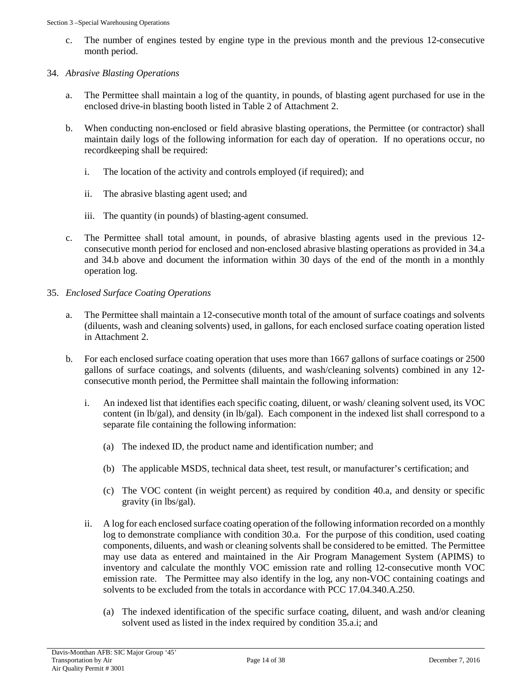c. The number of engines tested by engine type in the previous month and the previous 12-consecutive month period.

#### 34. *Abrasive Blasting Operations*

- a. The Permittee shall maintain a log of the quantity, in pounds, of blasting agent purchased for use in the enclosed drive-in blasting booth listed in Table 2 of Attachment 2.
- b. When conducting non-enclosed or field abrasive blasting operations, the Permittee (or contractor) shall maintain daily logs of the following information for each day of operation. If no operations occur, no recordkeeping shall be required:
	- i. The location of the activity and controls employed (if required); and
	- ii. The abrasive blasting agent used; and
	- iii. The quantity (in pounds) of blasting-agent consumed.
- c. The Permittee shall total amount, in pounds, of abrasive blasting agents used in the previous 12 consecutive month period for enclosed and non-enclosed abrasive blasting operations as provided in 34.a and 34.b above and document the information within 30 days of the end of the month in a monthly operation log.
- 35. *Enclosed Surface Coating Operations*
	- a. The Permittee shall maintain a 12-consecutive month total of the amount of surface coatings and solvents (diluents, wash and cleaning solvents) used, in gallons, for each enclosed surface coating operation listed in Attachment 2.
	- b. For each enclosed surface coating operation that uses more than 1667 gallons of surface coatings or 2500 gallons of surface coatings, and solvents (diluents, and wash/cleaning solvents) combined in any 12 consecutive month period, the Permittee shall maintain the following information:
		- i. An indexed list that identifies each specific coating, diluent, or wash/ cleaning solvent used, its VOC content (in lb/gal), and density (in lb/gal). Each component in the indexed list shall correspond to a separate file containing the following information:
			- (a) The indexed ID, the product name and identification number; and
			- (b) The applicable MSDS, technical data sheet, test result, or manufacturer's certification; and
			- (c) The VOC content (in weight percent) as required by condition 40.a, and density or specific gravity (in lbs/gal).
		- ii. A log for each enclosed surface coating operation of the following information recorded on a monthly log to demonstrate compliance with condition 30.a. For the purpose of this condition, used coating components, diluents, and wash or cleaning solvents shall be considered to be emitted. The Permittee may use data as entered and maintained in the Air Program Management System (APIMS) to inventory and calculate the monthly VOC emission rate and rolling 12-consecutive month VOC emission rate. The Permittee may also identify in the log, any non-VOC containing coatings and solvents to be excluded from the totals in accordance with PCC 17.04.340.A.250.
			- (a) The indexed identification of the specific surface coating, diluent, and wash and/or cleaning solvent used as listed in the index required by condition 35.a.i; and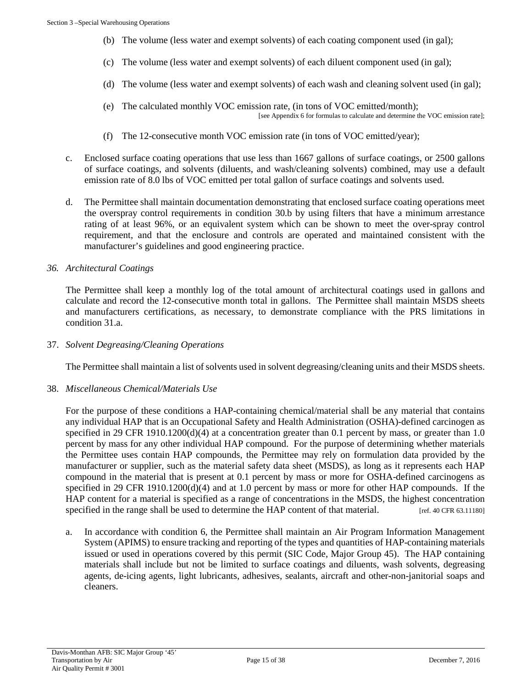- (b) The volume (less water and exempt solvents) of each coating component used (in gal);
- (c) The volume (less water and exempt solvents) of each diluent component used (in gal);
- (d) The volume (less water and exempt solvents) of each wash and cleaning solvent used (in gal);
- (e) The calculated monthly VOC emission rate, (in tons of VOC emitted/month); [see Appendix 6 for formulas to calculate and determine the VOC emission rate];
- (f) The 12-consecutive month VOC emission rate (in tons of VOC emitted/year);
- c. Enclosed surface coating operations that use less than 1667 gallons of surface coatings, or 2500 gallons of surface coatings, and solvents (diluents, and wash/cleaning solvents) combined, may use a default emission rate of 8.0 lbs of VOC emitted per total gallon of surface coatings and solvents used.
- d. The Permittee shall maintain documentation demonstrating that enclosed surface coating operations meet the overspray control requirements in condition 30.b by using filters that have a minimum arrestance rating of at least 96%, or an equivalent system which can be shown to meet the over-spray control requirement, and that the enclosure and controls are operated and maintained consistent with the manufacturer's guidelines and good engineering practice.

#### *36. Architectural Coatings*

The Permittee shall keep a monthly log of the total amount of architectural coatings used in gallons and calculate and record the 12-consecutive month total in gallons. The Permittee shall maintain MSDS sheets and manufacturers certifications, as necessary, to demonstrate compliance with the PRS limitations in condition 31.a.

37. *Solvent Degreasing/Cleaning Operations*

The Permittee shall maintain a list of solvents used in solvent degreasing/cleaning units and their MSDS sheets.

38. *Miscellaneous Chemical/Materials Use*

For the purpose of these conditions a HAP-containing chemical/material shall be any material that contains any individual HAP that is an Occupational Safety and Health Administration (OSHA)-defined carcinogen as specified in 29 CFR 1910.1200(d)(4) at a concentration greater than 0.1 percent by mass, or greater than 1.0 percent by mass for any other individual HAP compound. For the purpose of determining whether materials the Permittee uses contain HAP compounds, the Permittee may rely on formulation data provided by the manufacturer or supplier, such as the material safety data sheet (MSDS), as long as it represents each HAP compound in the material that is present at 0.1 percent by mass or more for OSHA-defined carcinogens as specified in 29 CFR 1910.1200(d)(4) and at 1.0 percent by mass or more for other HAP compounds. If the HAP content for a material is specified as a range of concentrations in the MSDS, the highest concentration specified in the range shall be used to determine the HAP content of that material. [ref. 40 CFR 63.11180]

a. In accordance with condition 6, the Permittee shall maintain an Air Program Information Management System (APIMS) to ensure tracking and reporting of the types and quantities of HAP-containing materials issued or used in operations covered by this permit (SIC Code, Major Group 45). The HAP containing materials shall include but not be limited to surface coatings and diluents, wash solvents, degreasing agents, de-icing agents, light lubricants, adhesives, sealants, aircraft and other-non-janitorial soaps and cleaners.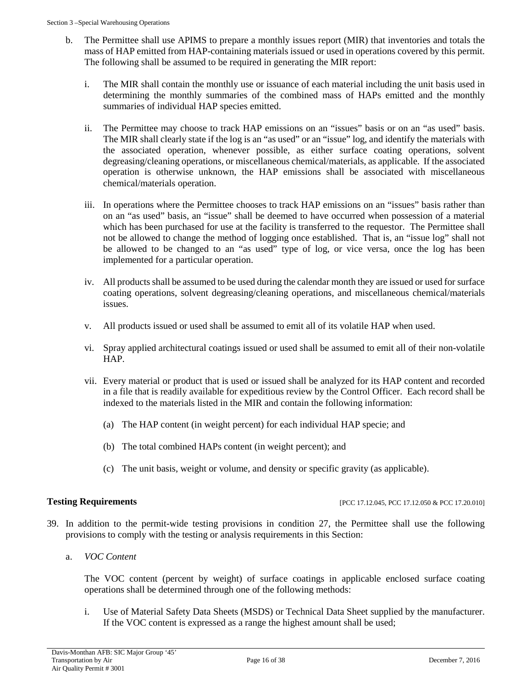- b. The Permittee shall use APIMS to prepare a monthly issues report (MIR) that inventories and totals the mass of HAP emitted from HAP-containing materials issued or used in operations covered by this permit. The following shall be assumed to be required in generating the MIR report:
	- i. The MIR shall contain the monthly use or issuance of each material including the unit basis used in determining the monthly summaries of the combined mass of HAPs emitted and the monthly summaries of individual HAP species emitted.
	- ii. The Permittee may choose to track HAP emissions on an "issues" basis or on an "as used" basis. The MIR shall clearly state if the log is an "as used" or an "issue" log, and identify the materials with the associated operation, whenever possible, as either surface coating operations, solvent degreasing/cleaning operations, or miscellaneous chemical/materials, as applicable. If the associated operation is otherwise unknown, the HAP emissions shall be associated with miscellaneous chemical/materials operation.
	- iii. In operations where the Permittee chooses to track HAP emissions on an "issues" basis rather than on an "as used" basis, an "issue" shall be deemed to have occurred when possession of a material which has been purchased for use at the facility is transferred to the requestor. The Permittee shall not be allowed to change the method of logging once established. That is, an "issue log" shall not be allowed to be changed to an "as used" type of log, or vice versa, once the log has been implemented for a particular operation.
	- iv. All products shall be assumed to be used during the calendar month they are issued or used for surface coating operations, solvent degreasing/cleaning operations, and miscellaneous chemical/materials issues.
	- v. All products issued or used shall be assumed to emit all of its volatile HAP when used.
	- vi. Spray applied architectural coatings issued or used shall be assumed to emit all of their non-volatile HAP.
	- vii. Every material or product that is used or issued shall be analyzed for its HAP content and recorded in a file that is readily available for expeditious review by the Control Officer. Each record shall be indexed to the materials listed in the MIR and contain the following information:
		- (a) The HAP content (in weight percent) for each individual HAP specie; and
		- (b) The total combined HAPs content (in weight percent); and
		- (c) The unit basis, weight or volume, and density or specific gravity (as applicable).

**Testing Requirements [PCC 17.12.045, PCC 17.12.050 & PCC 17.20.010]** 

- 39. In addition to the permit-wide testing provisions in condition 27, the Permittee shall use the following provisions to comply with the testing or analysis requirements in this Section:
	- a. *VOC Content*

The VOC content (percent by weight) of surface coatings in applicable enclosed surface coating operations shall be determined through one of the following methods:

i. Use of Material Safety Data Sheets (MSDS) or Technical Data Sheet supplied by the manufacturer. If the VOC content is expressed as a range the highest amount shall be used;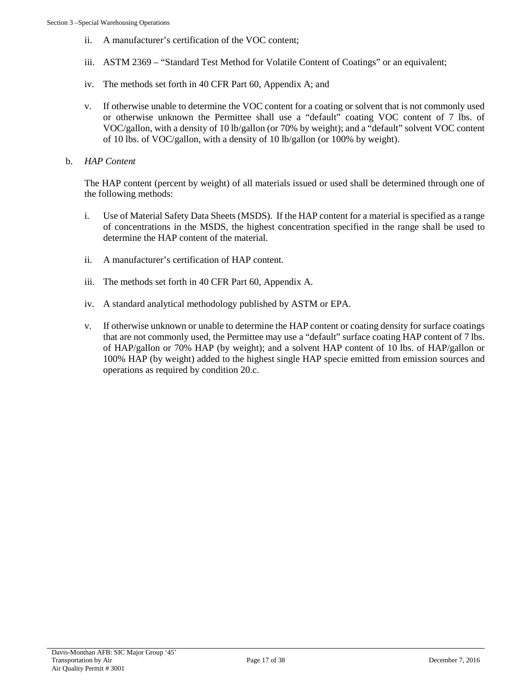- ii. A manufacturer's certification of the VOC content;
- iii. ASTM 2369 "Standard Test Method for Volatile Content of Coatings" or an equivalent;
- iv. The methods set forth in 40 CFR Part 60, Appendix A; and
- v. If otherwise unable to determine the VOC content for a coating or solvent that is not commonly used or otherwise unknown the Permittee shall use a "default" coating VOC content of 7 lbs. of VOC/gallon, with a density of 10 lb/gallon (or 70% by weight); and a "default" solvent VOC content of 10 lbs. of VOC/gallon, with a density of 10 lb/gallon (or 100% by weight).
- b. *HAP Content*

The HAP content (percent by weight) of all materials issued or used shall be determined through one of the following methods:

- i. Use of Material Safety Data Sheets (MSDS). If the HAP content for a material is specified as a range of concentrations in the MSDS, the highest concentration specified in the range shall be used to determine the HAP content of the material.
- ii. A manufacturer's certification of HAP content.
- iii. The methods set forth in 40 CFR Part 60, Appendix A.
- iv. A standard analytical methodology published by ASTM or EPA.
- v. If otherwise unknown or unable to determine the HAP content or coating density for surface coatings that are not commonly used, the Permittee may use a "default" surface coating HAP content of 7 lbs. of HAP/gallon or 70% HAP (by weight); and a solvent HAP content of 10 lbs. of HAP/gallon or 100% HAP (by weight) added to the highest single HAP specie emitted from emission sources and operations as required by condition 20.c.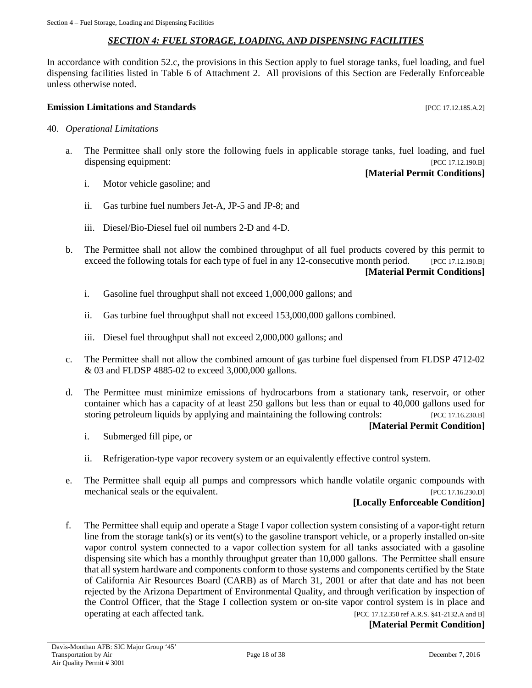#### *SECTION 4: FUEL STORAGE, LOADING, AND DISPENSING FACILITIES*

<span id="page-17-0"></span>In accordance with condition 52.c, the provisions in this Section apply to fuel storage tanks, fuel loading, and fuel dispensing facilities listed in Table 6 of Attachment 2. All provisions of this Section are Federally Enforceable unless otherwise noted.

#### **Emission Limitations and Standards Emission Limitations and Standards Exercíse 20**

- 40. *Operational Limitations*
	- a. The Permittee shall only store the following fuels in applicable storage tanks, fuel loading, and fuel dispensing equipment: [PCC 17.12.190.B]

**[Material Permit Conditions]**

- i. Motor vehicle gasoline; and
- ii. Gas turbine fuel numbers Jet-A, JP-5 and JP-8; and
- iii. Diesel/Bio-Diesel fuel oil numbers 2-D and 4-D.
- b. The Permittee shall not allow the combined throughput of all fuel products covered by this permit to exceed the following totals for each type of fuel in any 12-consecutive month period. [PCC 17.12.190.B] **[Material Permit Conditions]**
	- i. Gasoline fuel throughput shall not exceed 1,000,000 gallons; and
	- ii. Gas turbine fuel throughput shall not exceed 153,000,000 gallons combined.
	- iii. Diesel fuel throughput shall not exceed 2,000,000 gallons; and
- c. The Permittee shall not allow the combined amount of gas turbine fuel dispensed from FLDSP 4712-02 & 03 and FLDSP 4885-02 to exceed 3,000,000 gallons.
- d. The Permittee must minimize emissions of hydrocarbons from a stationary tank, reservoir, or other container which has a capacity of at least 250 gallons but less than or equal to 40,000 gallons used for storing petroleum liquids by applying and maintaining the following controls: [PCC 17.16.230.B]

#### **[Material Permit Condition]**

- i. Submerged fill pipe, or
- ii. Refrigeration-type vapor recovery system or an equivalently effective control system.
- e. The Permittee shall equip all pumps and compressors which handle volatile organic compounds with mechanical seals or the equivalent. [PCC 17.16.230.D]

#### **[Locally Enforceable Condition]**

f. The Permittee shall equip and operate a Stage I vapor collection system consisting of a vapor-tight return line from the storage  $tank(s)$  or its vent(s) to the gasoline transport vehicle, or a properly installed on-site vapor control system connected to a vapor collection system for all tanks associated with a gasoline dispensing site which has a monthly throughput greater than 10,000 gallons. The Permittee shall ensure that all system hardware and components conform to those systems and components certified by the State of California Air Resources Board (CARB) as of March 31, 2001 or after that date and has not been rejected by the Arizona Department of Environmental Quality, and through verification by inspection of the Control Officer, that the Stage I collection system or on-site vapor control system is in place and operating at each affected tank. [PCC 17.12.350 ref A.R.S. §41-2132.A and B]

**[Material Permit Condition]**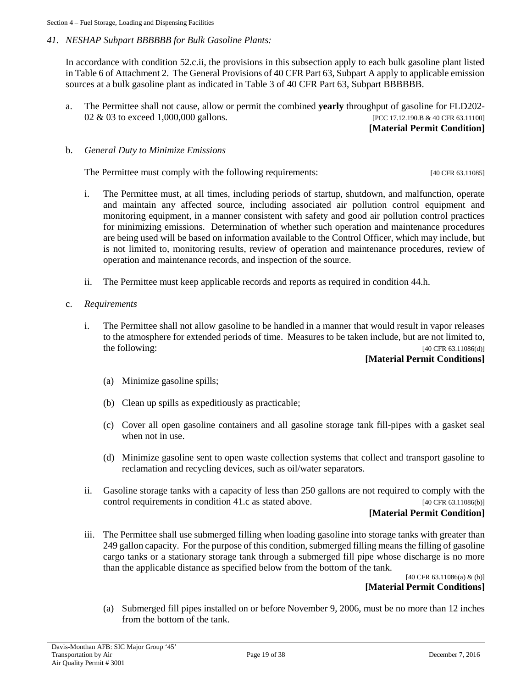Section 4 – Fuel Storage, Loading and Dispensing Facilities

#### *41. NESHAP Subpart BBBBBB for Bulk Gasoline Plants:*

In accordance with condition 52.c.ii, the provisions in this subsection apply to each bulk gasoline plant listed in Table 6 of Attachment 2. The General Provisions of 40 CFR Part 63, Subpart A apply to applicable emission sources at a bulk gasoline plant as indicated in Table 3 of 40 CFR Part 63, Subpart BBBBBB.

a. The Permittee shall not cause, allow or permit the combined **yearly** throughput of gasoline for FLD202- 02 & 03 to exceed 1,000,000 gallons. [PCC 17.12.190.B & 40 CFR 63.11100]

**[Material Permit Condition]**

#### b. *General Duty to Minimize Emissions*

The Permittee must comply with the following requirements: [40 CFR 63.11085]

- i. The Permittee must, at all times, including periods of startup, shutdown, and malfunction, operate and maintain any affected source, including associated air pollution control equipment and monitoring equipment, in a manner consistent with safety and good air pollution control practices for minimizing emissions. Determination of whether such operation and maintenance procedures are being used will be based on information available to the Control Officer, which may include, but is not limited to, monitoring results, review of operation and maintenance procedures, review of operation and maintenance records, and inspection of the source.
- ii. The Permittee must keep applicable records and reports as required in condition 44.h.
- c. *Requirements*
	- i. The Permittee shall not allow gasoline to be handled in a manner that would result in vapor releases to the atmosphere for extended periods of time. Measures to be taken include, but are not limited to, the following:  $[40 \text{ CFR } 63.11086(d)]$

#### **[Material Permit Conditions]**

- (a) Minimize gasoline spills;
- (b) Clean up spills as expeditiously as practicable;
- (c) Cover all open gasoline containers and all gasoline storage tank fill-pipes with a gasket seal when not in use.
- (d) Minimize gasoline sent to open waste collection systems that collect and transport gasoline to reclamation and recycling devices, such as oil/water separators.
- ii. Gasoline storage tanks with a capacity of less than 250 gallons are not required to comply with the control requirements in condition 41.c as stated above.  $[40 \text{ CFR } 63.11086(b)]$

#### **[Material Permit Condition]**

iii. The Permittee shall use submerged filling when loading gasoline into storage tanks with greater than 249 gallon capacity. For the purpose of this condition, submerged filling means the filling of gasoline cargo tanks or a stationary storage tank through a submerged fill pipe whose discharge is no more than the applicable distance as specified below from the bottom of the tank.

[40 CFR 63.11086(a) & (b)] **[Material Permit Conditions]**

(a) Submerged fill pipes installed on or before November 9, 2006, must be no more than 12 inches from the bottom of the tank.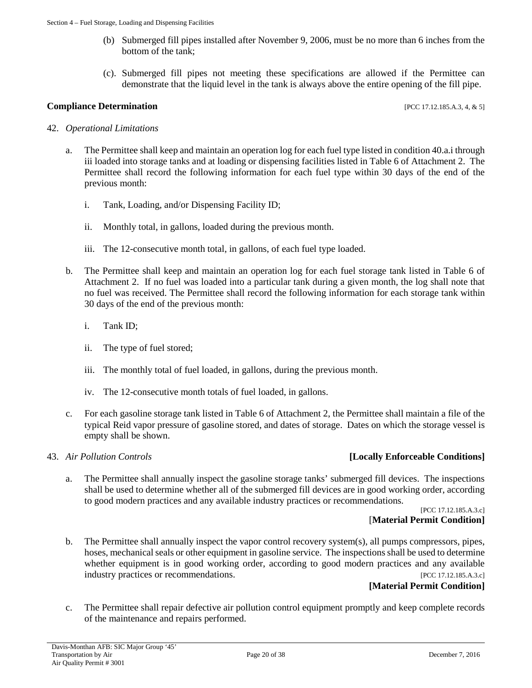- (b) Submerged fill pipes installed after November 9, 2006, must be no more than 6 inches from the bottom of the tank;
- (c). Submerged fill pipes not meeting these specifications are allowed if the Permittee can demonstrate that the liquid level in the tank is always above the entire opening of the fill pipe.

#### **Compliance Determination** [PCC 17.12.185.A.3, 4, & 5]

#### 42. *Operational Limitations*

- a. The Permittee shall keep and maintain an operation log for each fuel type listed in condition 40.a.i through iii loaded into storage tanks and at loading or dispensing facilities listed in Table 6 of Attachment 2. The Permittee shall record the following information for each fuel type within 30 days of the end of the previous month:
	- i. Tank, Loading, and/or Dispensing Facility ID;
	- ii. Monthly total, in gallons, loaded during the previous month.
	- iii. The 12-consecutive month total, in gallons, of each fuel type loaded.
- b. The Permittee shall keep and maintain an operation log for each fuel storage tank listed in Table 6 of Attachment 2. If no fuel was loaded into a particular tank during a given month, the log shall note that no fuel was received. The Permittee shall record the following information for each storage tank within 30 days of the end of the previous month:
	- i. Tank ID;
	- ii. The type of fuel stored;
	- iii. The monthly total of fuel loaded, in gallons, during the previous month.
	- iv. The 12-consecutive month totals of fuel loaded, in gallons.
- c. For each gasoline storage tank listed in Table 6 of Attachment 2, the Permittee shall maintain a file of the typical Reid vapor pressure of gasoline stored, and dates of storage. Dates on which the storage vessel is empty shall be shown.

#### 43. *Air Pollution Controls* **[Locally Enforceable Conditions]**

a. The Permittee shall annually inspect the gasoline storage tanks' submerged fill devices. The inspections shall be used to determine whether all of the submerged fill devices are in good working order, according to good modern practices and any available industry practices or recommendations.

> [PCC 17.12.185.A.3.c] [**Material Permit Condition]**

b. The Permittee shall annually inspect the vapor control recovery system(s), all pumps compressors, pipes, hoses, mechanical seals or other equipment in gasoline service. The inspections shall be used to determine whether equipment is in good working order, according to good modern practices and any available industry practices or recommendations. [PCC 17.12.185.A.3.c]

#### **[Material Permit Condition]**

c. The Permittee shall repair defective air pollution control equipment promptly and keep complete records of the maintenance and repairs performed.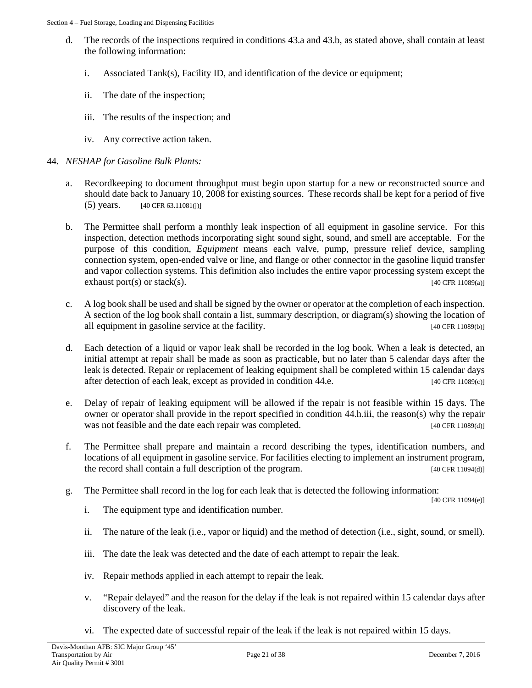- d. The records of the inspections required in conditions 43.a and 43.b, as stated above, shall contain at least the following information:
	- i. Associated Tank(s), Facility ID, and identification of the device or equipment;
	- ii. The date of the inspection;
	- iii. The results of the inspection; and
	- iv. Any corrective action taken.
- 44. *NESHAP for Gasoline Bulk Plants:*
	- a. Recordkeeping to document throughput must begin upon startup for a new or reconstructed source and should date back to January 10, 2008 for existing sources. These records shall be kept for a period of five (5) years.  $[40 \text{ CFR } 63.11081(i)]$
	- b. The Permittee shall perform a monthly leak inspection of all equipment in gasoline service. For this inspection, detection methods incorporating sight sound sight, sound, and smell are acceptable. For the purpose of this condition, *Equipment* means each valve, pump, pressure relief device, sampling connection system, open-ended valve or line, and flange or other connector in the gasoline liquid transfer and vapor collection systems. This definition also includes the entire vapor processing system except the exhaust port(s) or stack(s). [40 CFR 11089(a)]
	- c. A log book shall be used and shall be signed by the owner or operator at the completion of each inspection. A section of the log book shall contain a list, summary description, or diagram(s) showing the location of all equipment in gasoline service at the facility. [40 CFR 11089(b)]
	- d. Each detection of a liquid or vapor leak shall be recorded in the log book. When a leak is detected, an initial attempt at repair shall be made as soon as practicable, but no later than 5 calendar days after the leak is detected. Repair or replacement of leaking equipment shall be completed within 15 calendar days after detection of each leak, except as provided in condition 44.e. [40 CFR 11089(c)]
	- e. Delay of repair of leaking equipment will be allowed if the repair is not feasible within 15 days. The owner or operator shall provide in the report specified in condition 44.h.iii, the reason(s) why the repair was not feasible and the date each repair was completed. [40 CFR 11089(d)]
	- f. The Permittee shall prepare and maintain a record describing the types, identification numbers, and locations of all equipment in gasoline service. For facilities electing to implement an instrument program, the record shall contain a full description of the program. [40 CFR 11094(d)]
	- g. The Permittee shall record in the log for each leak that is detected the following information: [40 CFR 11094(e)]
		- i. The equipment type and identification number.
		- ii. The nature of the leak (i.e., vapor or liquid) and the method of detection (i.e., sight, sound, or smell).
		- iii. The date the leak was detected and the date of each attempt to repair the leak.
		- iv. Repair methods applied in each attempt to repair the leak.
		- v. "Repair delayed" and the reason for the delay if the leak is not repaired within 15 calendar days after discovery of the leak.
		- vi. The expected date of successful repair of the leak if the leak is not repaired within 15 days.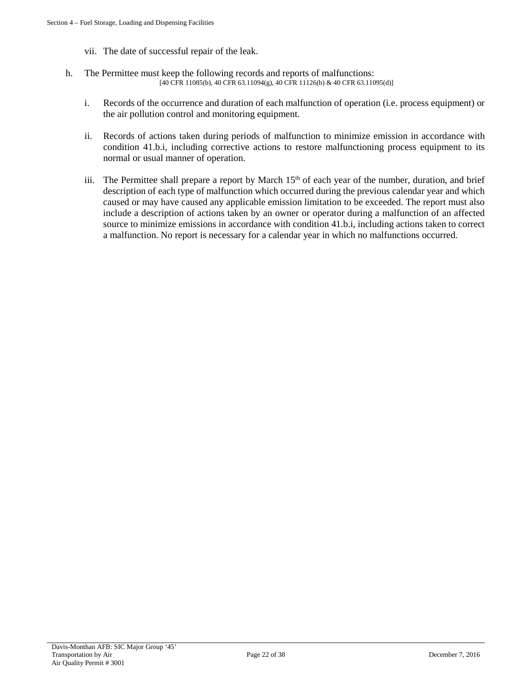- vii. The date of successful repair of the leak.
- h. The Permittee must keep the following records and reports of malfunctions:  $[40 \text{ CFR } 11085(b), 40 \text{ CFR } 63.11094(g), 40 \text{ CFR } 11126(b) \& 40 \text{ CFR } 63.11095(d)]$ 
	- i. Records of the occurrence and duration of each malfunction of operation (i.e. process equipment) or the air pollution control and monitoring equipment.
	- ii. Records of actions taken during periods of malfunction to minimize emission in accordance with condition 41.b.i, including corrective actions to restore malfunctioning process equipment to its normal or usual manner of operation.
	- iii. The Permittee shall prepare a report by March 15<sup>th</sup> of each year of the number, duration, and brief description of each type of malfunction which occurred during the previous calendar year and which caused or may have caused any applicable emission limitation to be exceeded. The report must also include a description of actions taken by an owner or operator during a malfunction of an affected source to minimize emissions in accordance with condition 41.b.i, including actions taken to correct a malfunction. No report is necessary for a calendar year in which no malfunctions occurred.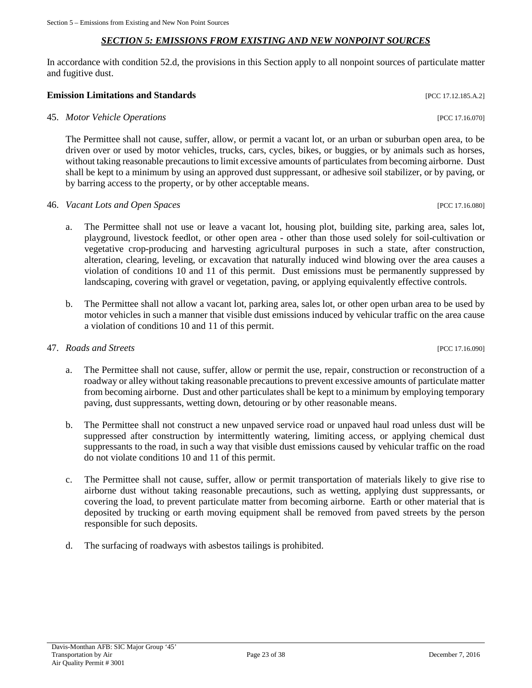#### *SECTION 5: EMISSIONS FROM EXISTING AND NEW NONPOINT SOURCES*

<span id="page-22-0"></span>In accordance with condition 52.d, the provisions in this Section apply to all nonpoint sources of particulate matter and fugitive dust.

#### **Emission Limitations and Standards** [PCC 17.12.185.A.2]

45. *Motor Vehicle Operations* [PCC 17.16.070]

The Permittee shall not cause, suffer, allow, or permit a vacant lot, or an urban or suburban open area, to be driven over or used by motor vehicles, trucks, cars, cycles, bikes, or buggies, or by animals such as horses, without taking reasonable precautions to limit excessive amounts of particulates from becoming airborne. Dust shall be kept to a minimum by using an approved dust suppressant, or adhesive soil stabilizer, or by paving, or by barring access to the property, or by other acceptable means.

- 46. *Vacant Lots and Open Spaces* [PCC 17.16.080]
	- a. The Permittee shall not use or leave a vacant lot, housing plot, building site, parking area, sales lot, playground, livestock feedlot, or other open area - other than those used solely for soil-cultivation or vegetative crop-producing and harvesting agricultural purposes in such a state, after construction, alteration, clearing, leveling, or excavation that naturally induced wind blowing over the area causes a violation of conditions 10 and 11 of this permit. Dust emissions must be permanently suppressed by landscaping, covering with gravel or vegetation, paving, or applying equivalently effective controls.
	- b. The Permittee shall not allow a vacant lot, parking area, sales lot, or other open urban area to be used by motor vehicles in such a manner that visible dust emissions induced by vehicular traffic on the area cause a violation of conditions 10 and 11 of this permit.

#### 47. *Roads and Streets* [PCC 17.16.090]

- a. The Permittee shall not cause, suffer, allow or permit the use, repair, construction or reconstruction of a roadway or alley without taking reasonable precautions to prevent excessive amounts of particulate matter from becoming airborne. Dust and other particulates shall be kept to a minimum by employing temporary paving, dust suppressants, wetting down, detouring or by other reasonable means.
- b. The Permittee shall not construct a new unpaved service road or unpaved haul road unless dust will be suppressed after construction by intermittently watering, limiting access, or applying chemical dust suppressants to the road, in such a way that visible dust emissions caused by vehicular traffic on the road do not violate conditions 10 and 11 of this permit.
- c. The Permittee shall not cause, suffer, allow or permit transportation of materials likely to give rise to airborne dust without taking reasonable precautions, such as wetting, applying dust suppressants, or covering the load, to prevent particulate matter from becoming airborne. Earth or other material that is deposited by trucking or earth moving equipment shall be removed from paved streets by the person responsible for such deposits.
- d. The surfacing of roadways with asbestos tailings is prohibited.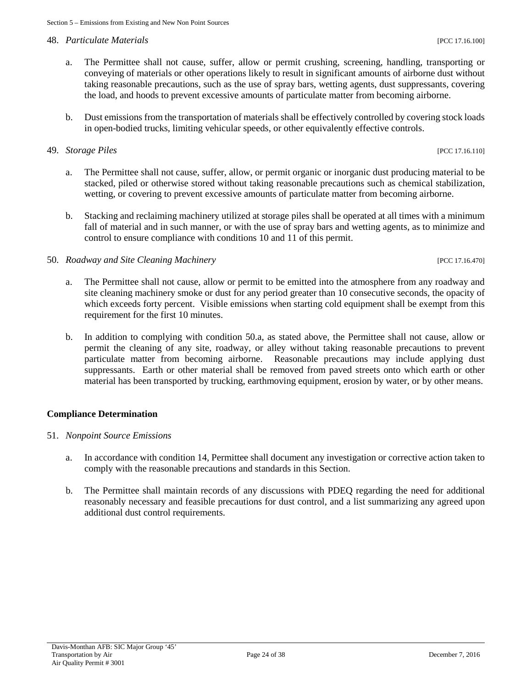#### 48. *Particulate Materials* [PCC 17.16.100]

- a. The Permittee shall not cause, suffer, allow or permit crushing, screening, handling, transporting or conveying of materials or other operations likely to result in significant amounts of airborne dust without taking reasonable precautions, such as the use of spray bars, wetting agents, dust suppressants, covering the load, and hoods to prevent excessive amounts of particulate matter from becoming airborne.
- b. Dust emissions from the transportation of materials shall be effectively controlled by covering stock loads in open-bodied trucks, limiting vehicular speeds, or other equivalently effective controls.

#### 49. *Storage Piles* [PCC 17.16.110]

- a. The Permittee shall not cause, suffer, allow, or permit organic or inorganic dust producing material to be stacked, piled or otherwise stored without taking reasonable precautions such as chemical stabilization, wetting, or covering to prevent excessive amounts of particulate matter from becoming airborne.
- b. Stacking and reclaiming machinery utilized at storage piles shall be operated at all times with a minimum fall of material and in such manner, or with the use of spray bars and wetting agents, as to minimize and control to ensure compliance with conditions 10 and 11 of this permit.

#### 50. *Roadway and Site Cleaning Machinery* [PCC 17.16.470]

- a. The Permittee shall not cause, allow or permit to be emitted into the atmosphere from any roadway and site cleaning machinery smoke or dust for any period greater than 10 consecutive seconds, the opacity of which exceeds forty percent. Visible emissions when starting cold equipment shall be exempt from this requirement for the first 10 minutes.
- b. In addition to complying with condition 50.a, as stated above, the Permittee shall not cause, allow or permit the cleaning of any site, roadway, or alley without taking reasonable precautions to prevent particulate matter from becoming airborne. Reasonable precautions may include applying dust suppressants. Earth or other material shall be removed from paved streets onto which earth or other material has been transported by trucking, earthmoving equipment, erosion by water, or by other means.

#### **Compliance Determination**

- 51. *Nonpoint Source Emissions*
	- a. In accordance with condition 14, Permittee shall document any investigation or corrective action taken to comply with the reasonable precautions and standards in this Section.
	- b. The Permittee shall maintain records of any discussions with PDEQ regarding the need for additional reasonably necessary and feasible precautions for dust control, and a list summarizing any agreed upon additional dust control requirements.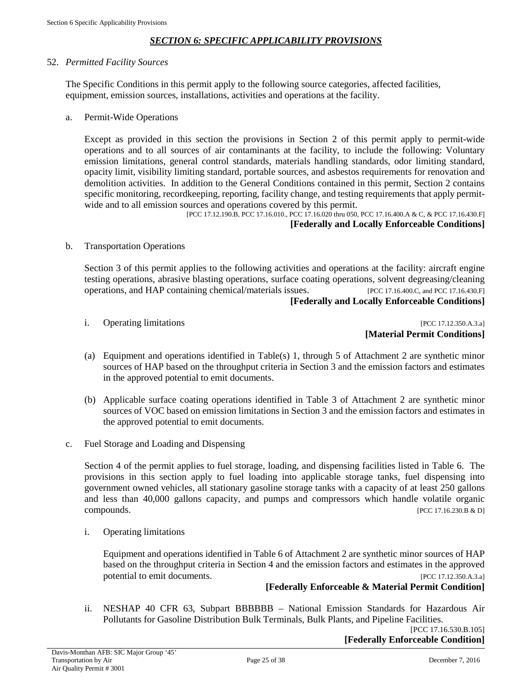#### *SECTION 6: SPECIFIC APPLICABILITY PROVISIONS*

#### <span id="page-24-0"></span>52. *Permitted Facility Sources*

The Specific Conditions in this permit apply to the following source categories, affected facilities, equipment, emission sources, installations, activities and operations at the facility.

a. Permit-Wide Operations

Except as provided in this section the provisions in Section 2 of this permit apply to permit-wide operations and to all sources of air contaminants at the facility, to include the following: Voluntary emission limitations, general control standards, materials handling standards, odor limiting standard, opacity limit, visibility limiting standard, portable sources, and asbestos requirements for renovation and demolition activities. In addition to the General Conditions contained in this permit, Section 2 contains specific monitoring, recordkeeping, reporting, facility change, and testing requirements that apply permitwide and to all emission sources and operations covered by this permit.

[PCC 17.12.190.B, PCC 17.16.010., PCC 17.16.020 thru 050, PCC 17.16.400.A & C, & PCC 17.16.430.F] **[Federally and Locally Enforceable Conditions]**

b. Transportation Operations

Section 3 of this permit applies to the following activities and operations at the facility: aircraft engine testing operations, abrasive blasting operations, surface coating operations, solvent degreasing/cleaning operations, and HAP containing chemical/materials issues. [PCC 17.16.400.C, and PCC 17.16.430.F] **[Federally and Locally Enforceable Conditions]**

i. Operating limitations [PCC 17.12.350.A.3.a] **[Material Permit Conditions]**

- (a) Equipment and operations identified in Table(s) 1, through 5 of Attachment 2 are synthetic minor sources of HAP based on the throughput criteria in Section 3 and the emission factors and estimates in the approved potential to emit documents.
- (b) Applicable surface coating operations identified in Table 3 of Attachment 2 are synthetic minor sources of VOC based on emission limitations in Section 3 and the emission factors and estimates in the approved potential to emit documents.
- c. Fuel Storage and Loading and Dispensing

Section 4 of the permit applies to fuel storage, loading, and dispensing facilities listed in Table 6. The provisions in this section apply to fuel loading into applicable storage tanks, fuel dispensing into government owned vehicles, all stationary gasoline storage tanks with a capacity of at least 250 gallons and less than 40,000 gallons capacity, and pumps and compressors which handle volatile organic compounds. [PCC 17.16.230.B & D]

i. Operating limitations

Equipment and operations identified in Table 6 of Attachment 2 are synthetic minor sources of HAP based on the throughput criteria in Section 4 and the emission factors and estimates in the approved potential to emit documents. **[PCC 17.12.350.A.3.a]** 

#### **[Federally Enforceable & Material Permit Condition]**

ii. NESHAP 40 CFR 63, Subpart BBBBBB – National Emission Standards for Hazardous Air Pollutants for Gasoline Distribution Bulk Terminals, Bulk Plants, and Pipeline Facilities.

[PCC 17.16.530.B.105] **[Federally Enforceable Condition]**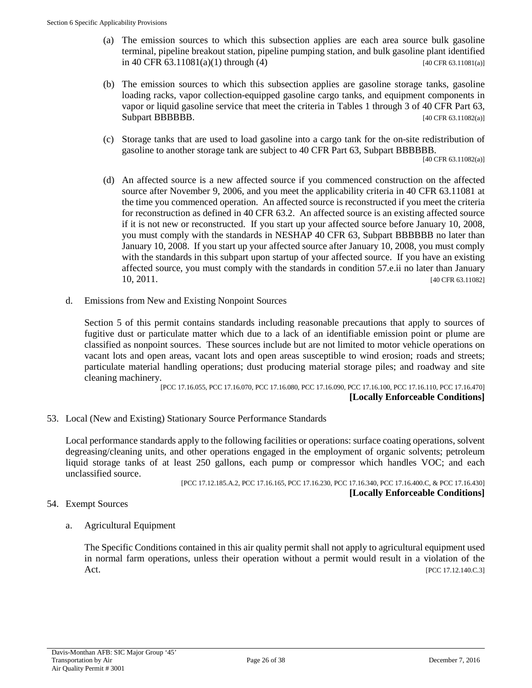- (a) The emission sources to which this subsection applies are each area source bulk gasoline terminal, pipeline breakout station, pipeline pumping station, and bulk gasoline plant identified in 40 CFR 63.11081(a)(1) through (4) [40 CFR 63.11081(a)]
- (b) The emission sources to which this subsection applies are gasoline storage tanks, gasoline loading racks, vapor collection-equipped gasoline cargo tanks, and equipment components in vapor or liquid gasoline service that meet the criteria in Tables 1 through 3 of 40 CFR Part 63, Subpart BBBBBB. [40 CFR 63.11082(a)]
- (c) Storage tanks that are used to load gasoline into a cargo tank for the on-site redistribution of gasoline to another storage tank are subject to 40 CFR Part 63, Subpart BBBBBB.

[40 CFR 63.11082(a)]

- (d) An affected source is a new affected source if you commenced construction on the affected source after November 9, 2006, and you meet the applicability criteria in 40 CFR 63.11081 at the time you commenced operation. An affected source is reconstructed if you meet the criteria for reconstruction as defined in 40 CFR 63.2. An affected source is an existing affected source if it is not new or reconstructed. If you start up your affected source before January 10, 2008, you must comply with the standards in NESHAP 40 CFR 63, Subpart BBBBBB no later than January 10, 2008. If you start up your affected source after January 10, 2008, you must comply with the standards in this subpart upon startup of your affected source. If you have an existing affected source, you must comply with the standards in condition 57.e.ii no later than January 10, 2011. [40 CFR 63.11082]
- d. Emissions from New and Existing Nonpoint Sources

Section 5 of this permit contains standards including reasonable precautions that apply to sources of fugitive dust or particulate matter which due to a lack of an identifiable emission point or plume are classified as nonpoint sources. These sources include but are not limited to motor vehicle operations on vacant lots and open areas, vacant lots and open areas susceptible to wind erosion; roads and streets; particulate material handling operations; dust producing material storage piles; and roadway and site cleaning machinery.

[PCC 17.16.055, PCC 17.16.070, PCC 17.16.080, PCC 17.16.090, PCC 17.16.100, PCC 17.16.110, PCC 17.16.470] **[Locally Enforceable Conditions]**

53. Local (New and Existing) Stationary Source Performance Standards

Local performance standards apply to the following facilities or operations: surface coating operations, solvent degreasing/cleaning units, and other operations engaged in the employment of organic solvents; petroleum liquid storage tanks of at least 250 gallons, each pump or compressor which handles VOC; and each unclassified source.

[PCC 17.12.185.A.2, PCC 17.16.165, PCC 17.16.230, PCC 17.16.340, PCC 17.16.400.C, & PCC 17.16.430] **[Locally Enforceable Conditions]**

#### 54. Exempt Sources

a. Agricultural Equipment

The Specific Conditions contained in this air quality permit shall not apply to agricultural equipment used in normal farm operations, unless their operation without a permit would result in a violation of the Act. [PCC 17.12.140.C.3]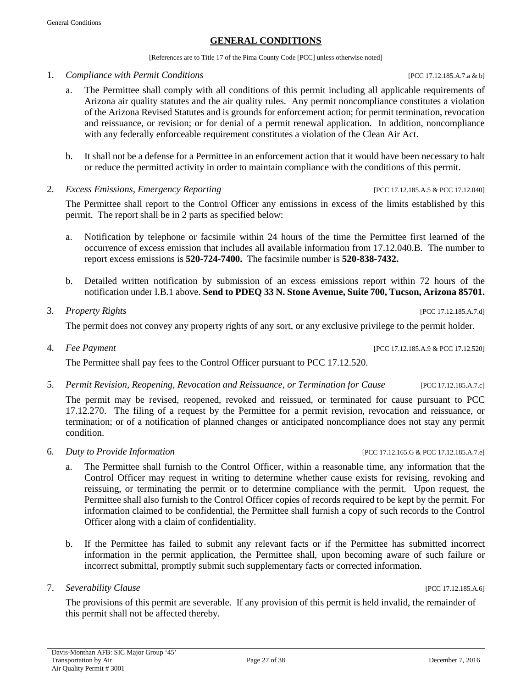[References are to Title 17 of the Pima County Code [PCC] unless otherwise noted]

- <span id="page-26-0"></span>1. *Compliance with Permit Conditions* [PCC 17.12.185.A.7.a & b]
	- a. The Permittee shall comply with all conditions of this permit including all applicable requirements of Arizona air quality statutes and the air quality rules. Any permit noncompliance constitutes a violation of the Arizona Revised Statutes and is grounds for enforcement action; for permit termination, revocation and reissuance, or revision; or for denial of a permit renewal application. In addition, noncompliance with any federally enforceable requirement constitutes a violation of the Clean Air Act.
	- b. It shall not be a defense for a Permittee in an enforcement action that it would have been necessary to halt or reduce the permitted activity in order to maintain compliance with the conditions of this permit.
- 2. *Excess Emissions, Emergency Reporting* [PCC 17.12.185.A.5 & PCC 17.12.040]

The Permittee shall report to the Control Officer any emissions in excess of the limits established by this permit. The report shall be in 2 parts as specified below:

- a. Notification by telephone or facsimile within 24 hours of the time the Permittee first learned of the occurrence of excess emission that includes all available information from 17.12.040.B. The number to report excess emissions is **520-724-7400.** The facsimile number is **520-838-7432.**
- b. Detailed written notification by submission of an excess emissions report within 72 hours of the notification under I.B.1 above. **Send to PDEQ 33 N. Stone Avenue, Suite 700, Tucson, Arizona 85701.**
- 3. *Property Rights* [PCC 17.12.185.A.7.d]

The permit does not convey any property rights of any sort, or any exclusive privilege to the permit holder.

The Permittee shall pay fees to the Control Officer pursuant to PCC 17.12.520.

5. *Permit Revision, Reopening, Revocation and Reissuance, or Termination for Cause* [PCC 17.12.185.A.7.c]

The permit may be revised, reopened, revoked and reissued, or terminated for cause pursuant to PCC 17.12.270. The filing of a request by the Permittee for a permit revision, revocation and reissuance, or termination; or of a notification of planned changes or anticipated noncompliance does not stay any permit condition.

- 6. *Duty to Provide Information* [PCC 17.12.165.G & PCC 17.12.185.A.7.e]
	- a. The Permittee shall furnish to the Control Officer, within a reasonable time, any information that the Control Officer may request in writing to determine whether cause exists for revising, revoking and reissuing, or terminating the permit or to determine compliance with the permit. Upon request, the Permittee shall also furnish to the Control Officer copies of records required to be kept by the permit. For information claimed to be confidential, the Permittee shall furnish a copy of such records to the Control Officer along with a claim of confidentiality.
	- b. If the Permittee has failed to submit any relevant facts or if the Permittee has submitted incorrect information in the permit application, the Permittee shall, upon becoming aware of such failure or incorrect submittal, promptly submit such supplementary facts or corrected information.
- 7. *Severability Clause* [PCC 17.12.185.A.6]

The provisions of this permit are severable. If any provision of this permit is held invalid, the remainder of this permit shall not be affected thereby.

4. *Fee Payment* [PCC 17.12.185.A.9 & PCC 17.12.520]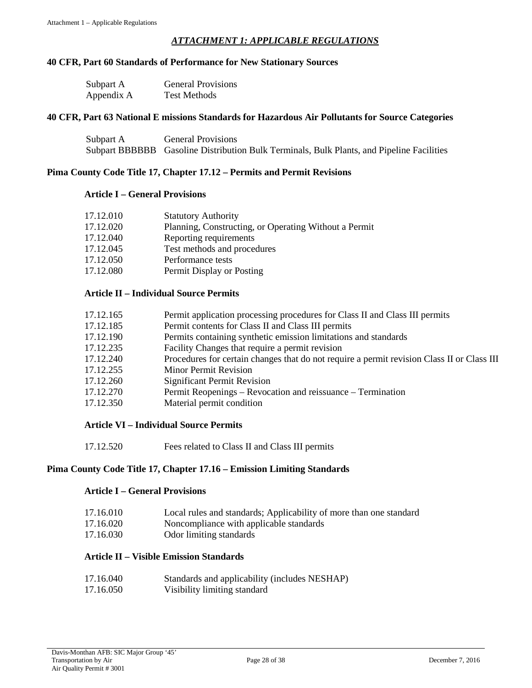#### *ATTACHMENT 1: APPLICABLE REGULATIONS*

#### <span id="page-27-0"></span>**40 CFR, Part 60 Standards of Performance for New Stationary Sources**

| Subpart A  | <b>General Provisions</b> |
|------------|---------------------------|
| Appendix A | <b>Test Methods</b>       |

#### **40 CFR, Part 63 National E missions Standards for Hazardous Air Pollutants for Source Categories**

| Subpart A | <b>General Provisions</b>                                                                 |
|-----------|-------------------------------------------------------------------------------------------|
|           | Subpart BBBBBB Gasoline Distribution Bulk Terminals, Bulk Plants, and Pipeline Facilities |

#### **Pima County Code Title 17, Chapter 17.12 – Permits and Permit Revisions**

#### **Article I – General Provisions**

| 17.12.010 | <b>Statutory Authority</b>                            |
|-----------|-------------------------------------------------------|
| 17.12.020 | Planning, Constructing, or Operating Without a Permit |
| 17.12.040 | Reporting requirements                                |
| 17.12.045 | Test methods and procedures                           |
| 17.12.050 | Performance tests                                     |
| 17.12.080 | Permit Display or Posting                             |

#### **Article II – Individual Source Permits**

| 17.12.165 | Permit application processing procedures for Class II and Class III permits                |
|-----------|--------------------------------------------------------------------------------------------|
| 17.12.185 | Permit contents for Class II and Class III permits                                         |
| 17.12.190 | Permits containing synthetic emission limitations and standards                            |
| 17.12.235 | Facility Changes that require a permit revision                                            |
| 17.12.240 | Procedures for certain changes that do not require a permit revision Class II or Class III |
| 17.12.255 | <b>Minor Permit Revision</b>                                                               |
| 17.12.260 | <b>Significant Permit Revision</b>                                                         |
| 17.12.270 | Permit Reopenings – Revocation and reissuance – Termination                                |
| 17.12.350 | Material permit condition                                                                  |

#### **Article VI – Individual Source Permits**

17.12.520 Fees related to Class II and Class III permits

#### **Pima County Code Title 17, Chapter 17.16 – Emission Limiting Standards**

#### **Article I – General Provisions**

| 17.16.010 |  |  |  | Local rules and standards; Applicability of more than one standard |
|-----------|--|--|--|--------------------------------------------------------------------|
|           |  |  |  |                                                                    |

- 17.16.020 Noncompliance with applicable standards
- 17.16.030 Odor limiting standards

#### **Article II – Visible Emission Standards**

| 17.16.040 | Standards and applicability (includes NESHAP) |
|-----------|-----------------------------------------------|
| 17.16.050 | Visibility limiting standard                  |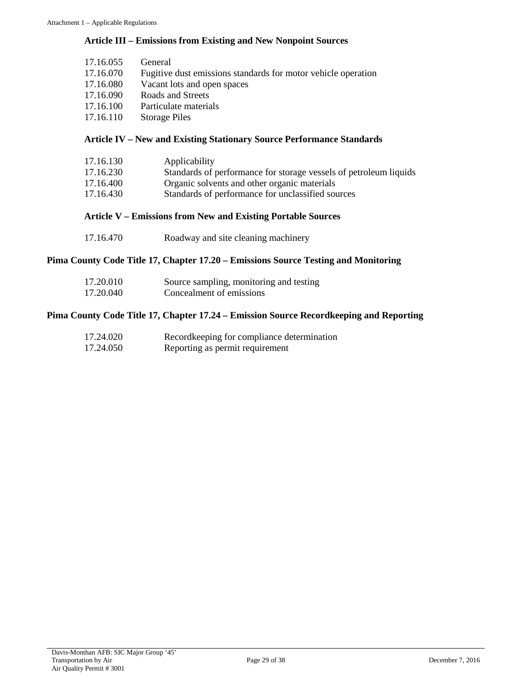#### **Article III – Emissions from Existing and New Nonpoint Sources**

| 17.16.055 | General                                                       |
|-----------|---------------------------------------------------------------|
| 17.16.070 | Fugitive dust emissions standards for motor vehicle operation |
| 17.16.080 | Vacant lots and open spaces                                   |
| 17.16.090 | Roads and Streets                                             |
| 17.16.100 | Particulate materials                                         |
| 17.16.110 | <b>Storage Piles</b>                                          |

#### **Article IV – New and Existing Stationary Source Performance Standards**

| 17.16.130 | Applicability                                                     |
|-----------|-------------------------------------------------------------------|
| 17.16.230 | Standards of performance for storage vessels of petroleum liquids |
| 17.16.400 | Organic solvents and other organic materials                      |
| 17.16.430 | Standards of performance for unclassified sources                 |
|           |                                                                   |

#### **Article V – Emissions from New and Existing Portable Sources**

| 17.16.470 |  | Roadway and site cleaning machinery |
|-----------|--|-------------------------------------|
|-----------|--|-------------------------------------|

#### **Pima County Code Title 17, Chapter 17.20 – Emissions Source Testing and Monitoring**

| 17.20.010 | Source sampling, monitoring and testing |
|-----------|-----------------------------------------|
| 17.20.040 | Concealment of emissions                |

#### **Pima County Code Title 17, Chapter 17.24 – Emission Source Recordkeeping and Reporting**

| 17.24.020 | Record keeping for compliance determination |
|-----------|---------------------------------------------|
| 17.24.050 | Reporting as permit requirement             |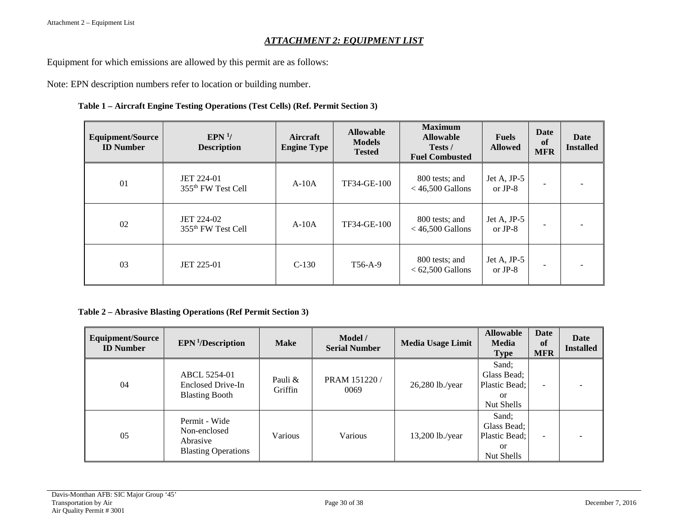#### *ATTACHMENT 2: EQUIPMENT LIST*

Equipment for which emissions are allowed by this permit are as follows:

Note: EPN description numbers refer to location or building number.

#### **Table 1 – Aircraft Engine Testing Operations (Test Cells) (Ref. Permit Section 3)**

<span id="page-29-0"></span>

| <b>Equipment/Source</b><br><b>ID</b> Number | EPN <sup>1</sup> /<br><b>Description</b>     | Aircraft<br><b>Engine Type</b> | <b>Allowable</b><br><b>Models</b><br><b>Tested</b> | <b>Maximum</b><br><b>Allowable</b><br>Tests /<br><b>Fuel Combusted</b> | <b>Fuels</b><br><b>Allowed</b> | Date<br>of<br><b>MFR</b> | Date<br><b>Installed</b> |
|---------------------------------------------|----------------------------------------------|--------------------------------|----------------------------------------------------|------------------------------------------------------------------------|--------------------------------|--------------------------|--------------------------|
| 01                                          | JET 224-01<br>355 <sup>th</sup> FW Test Cell | $A-10A$                        | TF34-GE-100                                        | 800 tests; and<br>$<$ 46,500 Gallons                                   | Jet A, $JP-5$<br>or $JP-8$     |                          |                          |
| 02                                          | JET 224-02<br>355 <sup>th</sup> FW Test Cell | $A-10A$                        | TF34-GE-100                                        | 800 tests; and<br>$<$ 46,500 Gallons                                   | Jet A, $JP-5$<br>or $JP-8$     |                          |                          |
| 03                                          | <b>JET 225-01</b>                            | $C-130$                        | T56-A-9                                            | 800 tests; and<br>$< 62,500$ Gallons                                   | Jet A, $JP-5$<br>or JP- $8$    |                          |                          |

#### **Table 2 – Abrasive Blasting Operations (Ref Permit Section 3)**

| Equipment/Source<br><b>ID</b> Number | EPN <sup>1</sup> /Description                                           | <b>Make</b>        | Model /<br><b>Serial Number</b> | <b>Media Usage Limit</b> | <b>Allowable</b><br><b>Media</b><br><b>Type</b>                      | <b>Date</b><br><sub>of</sub><br><b>MFR</b> | Date<br><b>Installed</b> |
|--------------------------------------|-------------------------------------------------------------------------|--------------------|---------------------------------|--------------------------|----------------------------------------------------------------------|--------------------------------------------|--------------------------|
| 04                                   | ABCL 5254-01<br>Enclosed Drive-In<br><b>Blasting Booth</b>              | Pauli &<br>Griffin | PRAM 151220 /<br>0069           | 26,280 lb./year          | Sand;<br>Glass Bead;<br>Plastic Bead;<br>or<br>Nut Shells            |                                            |                          |
| 05                                   | Permit - Wide<br>Non-enclosed<br>Abrasive<br><b>Blasting Operations</b> | Various            | Various                         | $13,200$ lb./year        | Sand;<br>Glass Bead;<br>Plastic Bead;<br><sub>or</sub><br>Nut Shells |                                            |                          |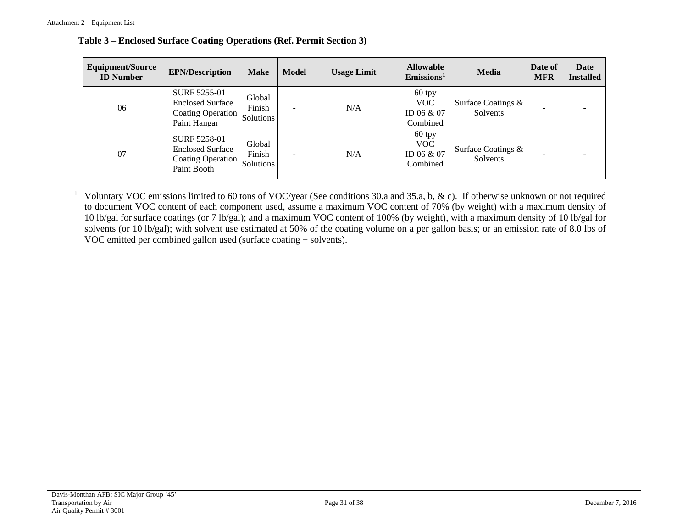| <b>Equipment/Source</b><br><b>ID Number</b> | <b>EPN/Description</b>                                                                       | <b>Make</b>      | <b>Model</b> | <b>Usage Limit</b> | <b>Allowable</b><br>Emissions <sup>1</sup>       | <b>Media</b>                   | Date of<br><b>MFR</b> | Date<br><b>Installed</b> |
|---------------------------------------------|----------------------------------------------------------------------------------------------|------------------|--------------|--------------------|--------------------------------------------------|--------------------------------|-----------------------|--------------------------|
| 06                                          | SURF 5255-01<br><b>Enclosed Surface</b><br>Coating Operation Solutions<br>Paint Hangar       | Global<br>Finish | -            | N/A                | $60$ tpy<br><b>VOC</b><br>ID 06 & 07<br>Combined | Surface Coatings &<br>Solvents |                       |                          |
| 07                                          | <b>SURF 5258-01</b><br><b>Enclosed Surface</b><br>Coating Operation Solutions<br>Paint Booth | Global<br>Finish | -            | N/A                | $60$ tpy<br><b>VOC</b><br>ID 06 & 07<br>Combined | Surface Coatings &<br>Solvents |                       |                          |

**Table 3 – Enclosed Surface Coating Operations (Ref. Permit Section 3)**

<sup>1</sup> Voluntary VOC emissions limited to 60 tons of VOC/year (See conditions 30.a and 35.a, b, & c). If otherwise unknown or not required to document VOC content of each component used, assume a maximum VOC content of 70% (by weight) with a maximum density of 10 lb/gal forsurface coatings (or 7 lb/gal); and a maximum VOC content of 100% (by weight), with a maximum density of 10 lb/gal for solvents (or 10 lb/gal); with solvent use estimated at 50% of the coating volume on a per gallon basis; or an emission rate of 8.0 lbs of VOC emitted per combined gallon used (surface coating + solvents).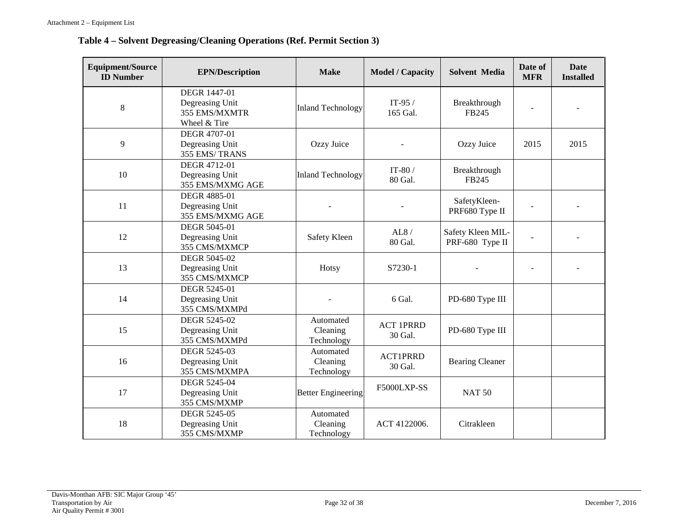### **Table 4 – Solvent Degreasing/Cleaning Operations (Ref. Permit Section 3)**

| <b>Equipment/Source</b><br><b>ID Number</b> | <b>EPN/Description</b>                                                  | <b>Make</b>                         | <b>Model / Capacity</b>     | <b>Solvent Media</b>                 | Date of<br><b>MFR</b> | <b>Date</b><br><b>Installed</b> |
|---------------------------------------------|-------------------------------------------------------------------------|-------------------------------------|-----------------------------|--------------------------------------|-----------------------|---------------------------------|
| 8                                           | <b>DEGR 1447-01</b><br>Degreasing Unit<br>355 EMS/MXMTR<br>Wheel & Tire | <b>Inland Technology</b>            | IT-95 $/$<br>165 Gal.       | Breakthrough<br>FB245                |                       |                                 |
| 9                                           | DEGR 4707-01<br>Degreasing Unit<br>355 EMS/TRANS                        | Ozzy Juice                          |                             | Ozzy Juice                           | 2015                  | 2015                            |
| 10                                          | DEGR 4712-01<br>Degreasing Unit<br>355 EMS/MXMG AGE                     | <b>Inland Technology</b>            | IT-80 $/$<br>80 Gal.        | Breakthrough<br>FB245                |                       |                                 |
| 11                                          | <b>DEGR 4885-01</b><br>Degreasing Unit<br>355 EMS/MXMG AGE              |                                     |                             | SafetyKleen-<br>PRF680 Type II       |                       |                                 |
| 12                                          | <b>DEGR 5045-01</b><br>Degreasing Unit<br>355 CMS/MXMCP                 | Safety Kleen                        | AL8/<br>80 Gal.             | Safety Kleen MIL-<br>PRF-680 Type II |                       |                                 |
| 13                                          | <b>DEGR 5045-02</b><br>Degreasing Unit<br>355 CMS/MXMCP                 | Hotsy                               | S7230-1                     |                                      |                       |                                 |
| 14                                          | <b>DEGR 5245-01</b><br>Degreasing Unit<br>355 CMS/MXMPd                 |                                     | 6 Gal.                      | PD-680 Type III                      |                       |                                 |
| 15                                          | DEGR 5245-02<br>Degreasing Unit<br>355 CMS/MXMPd                        | Automated<br>Cleaning<br>Technology | <b>ACT 1PRRD</b><br>30 Gal. | PD-680 Type III                      |                       |                                 |
| 16                                          | <b>DEGR 5245-03</b><br>Degreasing Unit<br>355 CMS/MXMPA                 | Automated<br>Cleaning<br>Technology | <b>ACT1PRRD</b><br>30 Gal.  | <b>Bearing Cleaner</b>               |                       |                                 |
| 17                                          | DEGR 5245-04<br>Degreasing Unit<br>355 CMS/MXMP                         | <b>Better Engineering</b>           | F5000LXP-SS                 | <b>NAT 50</b>                        |                       |                                 |
| 18                                          | <b>DEGR 5245-05</b><br>Degreasing Unit<br>355 CMS/MXMP                  | Automated<br>Cleaning<br>Technology | ACT 4122006.                | Citrakleen                           |                       |                                 |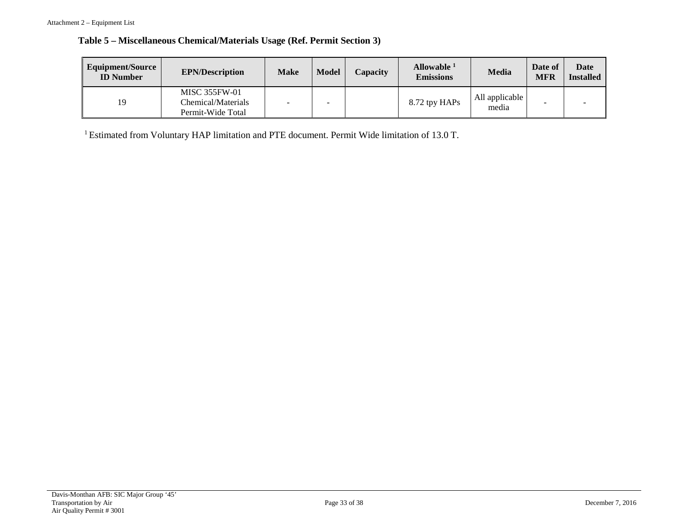|  | Table 5 – Miscellaneous Chemical/Materials Usage (Ref. Permit Section 3) |  |
|--|--------------------------------------------------------------------------|--|
|--|--------------------------------------------------------------------------|--|

| <b>Equipment/Source</b><br><b>ID</b> Number | <b>EPN/Description</b>                                          | <b>Make</b> | <b>Model</b> | Capacity | Allowable <sup>1</sup><br><b>Emissions</b> | Media                   | Date of<br><b>MFR</b> | Date<br><b>Installed</b> |
|---------------------------------------------|-----------------------------------------------------------------|-------------|--------------|----------|--------------------------------------------|-------------------------|-----------------------|--------------------------|
| 19                                          | <b>MISC 355FW-01</b><br>Chemical/Materials<br>Permit-Wide Total |             |              |          | 8.72 tpy HAPs                              | All applicable<br>media |                       | -                        |

1 Estimated from Voluntary HAP limitation and PTE document. Permit Wide limitation of 13.0 T.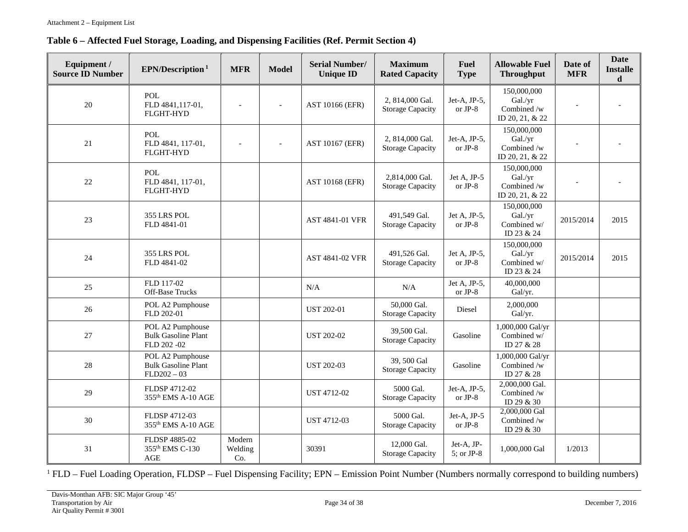| Equipment /<br><b>Source ID Number</b> | EPN/Description <sup>1</sup>                                    | <b>MFR</b>               | <b>Model</b>             | <b>Serial Number/</b><br><b>Unique ID</b> | <b>Maximum</b><br><b>Rated Capacity</b>    | <b>Fuel</b><br><b>Type</b> | <b>Allowable Fuel</b><br><b>Throughput</b>               | Date of<br><b>MFR</b> | <b>Date</b><br><b>Installe</b><br>$\mathbf d$ |
|----------------------------------------|-----------------------------------------------------------------|--------------------------|--------------------------|-------------------------------------------|--------------------------------------------|----------------------------|----------------------------------------------------------|-----------------------|-----------------------------------------------|
| 20                                     | POL.<br>FLD 4841,117-01,<br><b>FLGHT-HYD</b>                    |                          | $\overline{a}$           | AST 10166 (EFR)                           | 2, 814,000 Gal.<br><b>Storage Capacity</b> | Jet-A, JP-5,<br>or $JP-8$  | 150,000,000<br>Gal./yr<br>Combined /w<br>ID 20, 21, & 22 |                       |                                               |
| 21                                     | POL<br>FLD 4841, 117-01,<br><b>FLGHT-HYD</b>                    |                          | $\overline{\phantom{a}}$ | AST 10167 (EFR)                           | 2, 814,000 Gal.<br><b>Storage Capacity</b> | Jet-A, JP-5,<br>or $JP-8$  | 150,000,000<br>Gal./yr<br>Combined /w<br>ID 20, 21, & 22 |                       |                                               |
| 22                                     | <b>POL</b><br>FLD 4841, 117-01,<br><b>FLGHT-HYD</b>             |                          |                          | <b>AST 10168 (EFR)</b>                    | 2,814,000 Gal.<br><b>Storage Capacity</b>  | Jet A, JP-5<br>or $JP-8$   | 150,000,000<br>Gal./yr<br>Combined /w<br>ID 20, 21, & 22 |                       |                                               |
| 23                                     | 355 LRS POL<br>FLD 4841-01                                      |                          |                          | AST 4841-01 VFR                           | 491,549 Gal.<br><b>Storage Capacity</b>    | Jet A, JP-5,<br>or JP-8    | 150,000,000<br>Gal./yr<br>Combined w/<br>ID 23 & 24      | 2015/2014             | 2015                                          |
| 24                                     | 355 LRS POL<br>FLD 4841-02                                      |                          |                          | AST 4841-02 VFR                           | 491,526 Gal.<br><b>Storage Capacity</b>    | Jet A, JP-5,<br>or JP-8    | 150,000,000<br>Gal./yr<br>Combined w/<br>ID 23 & 24      | 2015/2014             | 2015                                          |
| 25                                     | FLD 117-02<br>Off-Base Trucks                                   |                          |                          | N/A                                       | N/A                                        | Jet A, JP-5,<br>or JP- $8$ | 40,000,000<br>Gal/yr.                                    |                       |                                               |
| 26                                     | POL A2 Pumphouse<br>FLD 202-01                                  |                          |                          | <b>UST 202-01</b>                         | 50,000 Gal.<br><b>Storage Capacity</b>     | Diesel                     | 2,000,000<br>Gal/yr.                                     |                       |                                               |
| 27                                     | POL A2 Pumphouse<br><b>Bulk Gasoline Plant</b><br>FLD 202-02    |                          |                          | <b>UST 202-02</b>                         | 39,500 Gal.<br><b>Storage Capacity</b>     | Gasoline                   | 1,000,000 Gal/yr<br>Combined w/<br>ID 27 & 28            |                       |                                               |
| 28                                     | POL A2 Pumphouse<br><b>Bulk Gasoline Plant</b><br>$FLD202 - 03$ |                          |                          | <b>UST 202-03</b>                         | 39, 500 Gal<br><b>Storage Capacity</b>     | Gasoline                   | 1,000,000 Gal/yr<br>Combined /w<br>ID 27 & 28            |                       |                                               |
| 29                                     | FLDSP 4712-02<br>355 <sup>th</sup> EMS A-10 AGE                 |                          |                          | <b>UST 4712-02</b>                        | 5000 Gal.<br><b>Storage Capacity</b>       | Jet-A, JP-5,<br>or JP- $8$ | 2,000,000 Gal.<br>Combined /w<br>ID 29 & 30              |                       |                                               |
| 30                                     | FLDSP 4712-03<br>355 <sup>th</sup> EMS A-10 AGE                 |                          |                          | UST 4712-03                               | 5000 Gal.<br><b>Storage Capacity</b>       | Jet-A, JP-5<br>or JP- $8$  | 2,000,000 Gal<br>Combined /w<br>ID 29 & 30               |                       |                                               |
| 31                                     | FLDSP 4885-02<br>355th EMS C-130<br><b>AGE</b>                  | Modern<br>Welding<br>Co. |                          | 30391                                     | 12,000 Gal.<br><b>Storage Capacity</b>     | Jet-A, JP-<br>5; or JP-8   | 1,000,000 Gal                                            | 1/2013                |                                               |

<sup>1</sup> FLD – Fuel Loading Operation, FLDSP – Fuel Dispensing Facility; EPN – Emission Point Number (Numbers normally correspond to building numbers)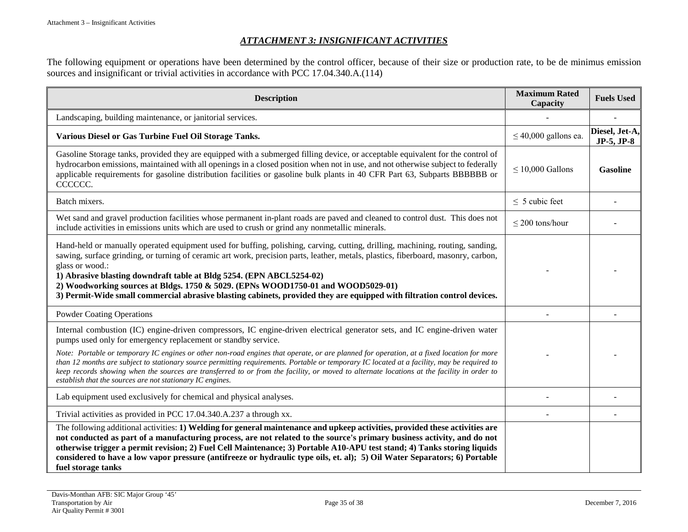#### *ATTACHMENT 3: INSIGNIFICANT ACTIVITIES*

The following equipment or operations have been determined by the control officer, because of their size or production rate, to be de minimus emission sources and insignificant or trivial activities in accordance with PCC 17.04.340.A.(114)

<span id="page-34-0"></span>

| <b>Description</b>                                                                                                                                                                                                                                                                                                                                                                                                                                                                                                                                                             | <b>Maximum Rated</b><br>Capacity | <b>Fuels Used</b>            |
|--------------------------------------------------------------------------------------------------------------------------------------------------------------------------------------------------------------------------------------------------------------------------------------------------------------------------------------------------------------------------------------------------------------------------------------------------------------------------------------------------------------------------------------------------------------------------------|----------------------------------|------------------------------|
| Landscaping, building maintenance, or janitorial services.                                                                                                                                                                                                                                                                                                                                                                                                                                                                                                                     |                                  |                              |
| Various Diesel or Gas Turbine Fuel Oil Storage Tanks.                                                                                                                                                                                                                                                                                                                                                                                                                                                                                                                          | $\leq$ 40,000 gallons ea.        | Diesel, Jet-A,<br>JP-5, JP-8 |
| Gasoline Storage tanks, provided they are equipped with a submerged filling device, or acceptable equivalent for the control of<br>hydrocarbon emissions, maintained with all openings in a closed position when not in use, and not otherwise subject to federally<br>applicable requirements for gasoline distribution facilities or gasoline bulk plants in 40 CFR Part 63, Subparts BBBBBB or<br>CCCCCC.                                                                                                                                                                   | $\leq$ 10,000 Gallons            | <b>Gasoline</b>              |
| Batch mixers.                                                                                                                                                                                                                                                                                                                                                                                                                                                                                                                                                                  | $\leq$ 5 cubic feet              |                              |
| Wet sand and gravel production facilities whose permanent in-plant roads are paved and cleaned to control dust. This does not<br>include activities in emissions units which are used to crush or grind any nonmetallic minerals.                                                                                                                                                                                                                                                                                                                                              | $\leq$ 200 tons/hour             |                              |
| Hand-held or manually operated equipment used for buffing, polishing, carving, cutting, drilling, machining, routing, sanding,<br>sawing, surface grinding, or turning of ceramic art work, precision parts, leather, metals, plastics, fiberboard, masonry, carbon,<br>glass or wood.:<br>1) Abrasive blasting downdraft table at Bldg 5254. (EPN ABCL5254-02)<br>2) Woodworking sources at Bldgs. 1750 & 5029. (EPNs WOOD1750-01 and WOOD5029-01)<br>3) Permit-Wide small commercial abrasive blasting cabinets, provided they are equipped with filtration control devices. |                                  |                              |
| <b>Powder Coating Operations</b>                                                                                                                                                                                                                                                                                                                                                                                                                                                                                                                                               |                                  |                              |
| Internal combustion (IC) engine-driven compressors, IC engine-driven electrical generator sets, and IC engine-driven water<br>pumps used only for emergency replacement or standby service.                                                                                                                                                                                                                                                                                                                                                                                    |                                  |                              |
| Note: Portable or temporary IC engines or other non-road engines that operate, or are planned for operation, at a fixed location for more<br>than 12 months are subject to stationary source permitting requirements. Portable or temporary IC located at a facility, may be required to<br>keep records showing when the sources are transferred to or from the facility, or moved to alternate locations at the facility in order to<br>establish that the sources are not stationary IC engines.                                                                            |                                  |                              |
| Lab equipment used exclusively for chemical and physical analyses.                                                                                                                                                                                                                                                                                                                                                                                                                                                                                                             |                                  |                              |
| Trivial activities as provided in PCC 17.04.340.A.237 a through xx.                                                                                                                                                                                                                                                                                                                                                                                                                                                                                                            |                                  |                              |
| The following additional activities: 1) Welding for general maintenance and upkeep activities, provided these activities are<br>not conducted as part of a manufacturing process, are not related to the source's primary business activity, and do not<br>otherwise trigger a permit revision; 2) Fuel Cell Maintenance; 3) Portable A10-APU test stand; 4) Tanks storing liquids<br>considered to have a low vapor pressure (antifreeze or hydraulic type oils, et. al); 5) Oil Water Separators; 6) Portable<br>fuel storage tanks                                          |                                  |                              |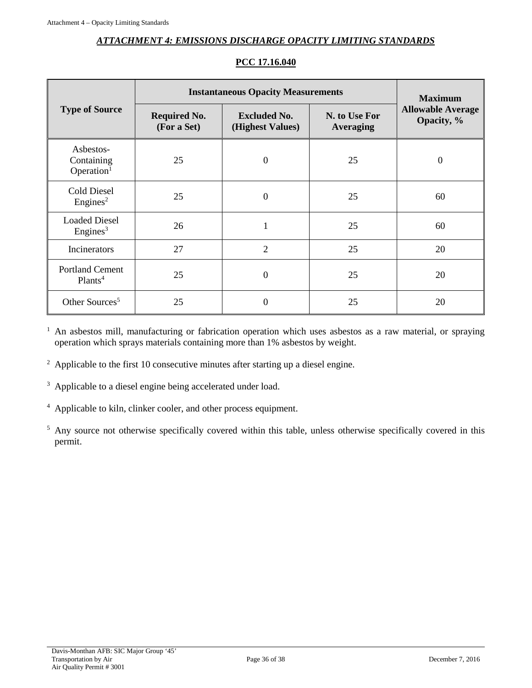#### *ATTACHMENT 4: EMISSIONS DISCHARGE OPACITY LIMITING STANDARDS*

<span id="page-35-0"></span>

|                                                   | <b>Instantaneous Opacity Measurements</b> | <b>Maximum</b>                          |                                   |                                        |
|---------------------------------------------------|-------------------------------------------|-----------------------------------------|-----------------------------------|----------------------------------------|
| <b>Type of Source</b>                             | <b>Required No.</b><br>(For a Set)        | <b>Excluded No.</b><br>(Highest Values) | N. to Use For<br><b>Averaging</b> | <b>Allowable Average</b><br>Opacity, % |
| Asbestos-<br>Containing<br>Operation <sup>1</sup> | 25                                        | $\theta$                                | 25                                | $\boldsymbol{0}$                       |
| <b>Cold Diesel</b><br>Engines <sup>2</sup>        | 25                                        | $\overline{0}$                          | 25                                | 60                                     |
| <b>Loaded Diesel</b><br>Engines <sup>3</sup>      | 26                                        | $\mathbf{1}$                            | 25                                | 60                                     |
| Incinerators                                      | 27                                        | $\overline{2}$                          | 25                                | 20                                     |
| <b>Portland Cement</b><br>Plants <sup>4</sup>     | 25                                        | $\overline{0}$                          | 25                                | 20                                     |
| Other Sources <sup>5</sup>                        | 25                                        | $\theta$                                | 25                                | 20                                     |

### **PCC 17.16.040**

<sup>1</sup> An asbestos mill, manufacturing or fabrication operation which uses asbestos as a raw material, or spraying operation which sprays materials containing more than 1% asbestos by weight.

- <sup>2</sup> Applicable to the first 10 consecutive minutes after starting up a diesel engine.
- <sup>3</sup> Applicable to a diesel engine being accelerated under load.
- <sup>4</sup> Applicable to kiln, clinker cooler, and other process equipment.
- <sup>5</sup> Any source not otherwise specifically covered within this table, unless otherwise specifically covered in this permit.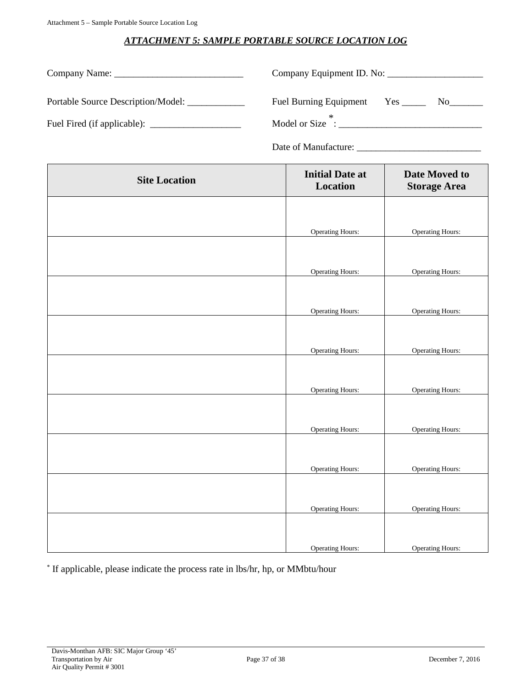### *ATTACHMENT 5: SAMPLE PORTABLE SOURCE LOCATION LOG*

<span id="page-36-0"></span>

|                                    | Company Equipment ID. No:                   |
|------------------------------------|---------------------------------------------|
| Portable Source Description/Model: | <b>Fuel Burning Equipment</b><br>Yes<br>No. |
|                                    | Model or Size :                             |

Date of Manufacture: \_\_\_\_\_\_\_\_\_\_\_\_\_\_\_\_\_\_\_\_\_\_\_\_\_\_

| <b>Site Location</b> | <b>Initial Date at</b><br>Location | Date Moved to<br><b>Storage Area</b> |
|----------------------|------------------------------------|--------------------------------------|
|                      |                                    |                                      |
|                      | <b>Operating Hours:</b>            | <b>Operating Hours:</b>              |
|                      |                                    |                                      |
|                      | <b>Operating Hours:</b>            | <b>Operating Hours:</b>              |
|                      |                                    |                                      |
|                      | <b>Operating Hours:</b>            | <b>Operating Hours:</b>              |
|                      |                                    |                                      |
|                      | <b>Operating Hours:</b>            | <b>Operating Hours:</b>              |
|                      |                                    |                                      |
|                      | <b>Operating Hours:</b>            | <b>Operating Hours:</b>              |
|                      |                                    |                                      |
|                      | <b>Operating Hours:</b>            | <b>Operating Hours:</b>              |
|                      |                                    |                                      |
|                      | <b>Operating Hours:</b>            | <b>Operating Hours:</b>              |
|                      |                                    |                                      |
|                      | <b>Operating Hours:</b>            | <b>Operating Hours:</b>              |
|                      |                                    |                                      |
|                      | <b>Operating Hours:</b>            | <b>Operating Hours:</b>              |

\* If applicable, please indicate the process rate in lbs/hr, hp, or MMbtu/hour